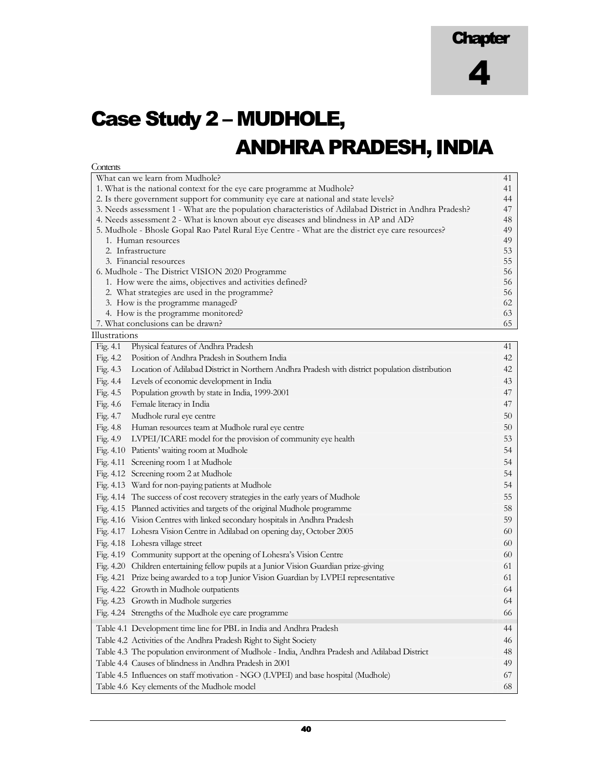## Case Study 2 – MUDHOLE, ANDHRA PRADESH, INDIA

| What can we learn from Mudhole?<br>41<br>1. What is the national context for the eye care programme at Mudhole?<br>41<br>2. Is there government support for community eye care at national and state levels?<br>44<br>3. Needs assessment 1 - What are the population characteristics of Adilabad District in Andhra Pradesh?<br>47<br>4. Needs assessment 2 - What is known about eye diseases and blindness in AP and AD?<br>48<br>5. Mudhole - Bhosle Gopal Rao Patel Rural Eye Centre - What are the district eye care resources?<br>49<br>49<br>1. Human resources<br>2. Infrastructure<br>53<br>3. Financial resources<br>55<br>6. Mudhole - The District VISION 2020 Programme<br>56<br>1. How were the aims, objectives and activities defined?<br>56<br>2. What strategies are used in the programme?<br>56<br>3. How is the programme managed?<br>62<br>4. How is the programme monitored?<br>63<br>7. What conclusions can be drawn?<br>65<br>Illustrations<br>Fig. 4.1<br>Physical features of Andhra Pradesh<br>41<br>Fig. 4.2<br>Position of Andhra Pradesh in Southern India<br>42<br>Fig. $4.3$<br>Location of Adilabad District in Northern Andhra Pradesh with district population distribution<br>42<br>Fig. 4.4<br>Levels of economic development in India<br>43<br>Fig. 4.5<br>Population growth by state in India, 1999-2001<br>47<br>Fig. 4.6<br>Female literacy in India<br>47<br>Fig. 4.7<br>Mudhole rural eye centre<br>50<br>Fig. 4.8<br>Human resources team at Mudhole rural eye centre<br>50<br>LVPEI/ICARE model for the provision of community eye health<br>Fig. 4.9<br>53 |
|-------------------------------------------------------------------------------------------------------------------------------------------------------------------------------------------------------------------------------------------------------------------------------------------------------------------------------------------------------------------------------------------------------------------------------------------------------------------------------------------------------------------------------------------------------------------------------------------------------------------------------------------------------------------------------------------------------------------------------------------------------------------------------------------------------------------------------------------------------------------------------------------------------------------------------------------------------------------------------------------------------------------------------------------------------------------------------------------------------------------------------------------------------------------------------------------------------------------------------------------------------------------------------------------------------------------------------------------------------------------------------------------------------------------------------------------------------------------------------------------------------------------------------------------------------------------------------------------------------------|
|                                                                                                                                                                                                                                                                                                                                                                                                                                                                                                                                                                                                                                                                                                                                                                                                                                                                                                                                                                                                                                                                                                                                                                                                                                                                                                                                                                                                                                                                                                                                                                                                             |
|                                                                                                                                                                                                                                                                                                                                                                                                                                                                                                                                                                                                                                                                                                                                                                                                                                                                                                                                                                                                                                                                                                                                                                                                                                                                                                                                                                                                                                                                                                                                                                                                             |
|                                                                                                                                                                                                                                                                                                                                                                                                                                                                                                                                                                                                                                                                                                                                                                                                                                                                                                                                                                                                                                                                                                                                                                                                                                                                                                                                                                                                                                                                                                                                                                                                             |
|                                                                                                                                                                                                                                                                                                                                                                                                                                                                                                                                                                                                                                                                                                                                                                                                                                                                                                                                                                                                                                                                                                                                                                                                                                                                                                                                                                                                                                                                                                                                                                                                             |
|                                                                                                                                                                                                                                                                                                                                                                                                                                                                                                                                                                                                                                                                                                                                                                                                                                                                                                                                                                                                                                                                                                                                                                                                                                                                                                                                                                                                                                                                                                                                                                                                             |
|                                                                                                                                                                                                                                                                                                                                                                                                                                                                                                                                                                                                                                                                                                                                                                                                                                                                                                                                                                                                                                                                                                                                                                                                                                                                                                                                                                                                                                                                                                                                                                                                             |
|                                                                                                                                                                                                                                                                                                                                                                                                                                                                                                                                                                                                                                                                                                                                                                                                                                                                                                                                                                                                                                                                                                                                                                                                                                                                                                                                                                                                                                                                                                                                                                                                             |
|                                                                                                                                                                                                                                                                                                                                                                                                                                                                                                                                                                                                                                                                                                                                                                                                                                                                                                                                                                                                                                                                                                                                                                                                                                                                                                                                                                                                                                                                                                                                                                                                             |
|                                                                                                                                                                                                                                                                                                                                                                                                                                                                                                                                                                                                                                                                                                                                                                                                                                                                                                                                                                                                                                                                                                                                                                                                                                                                                                                                                                                                                                                                                                                                                                                                             |
|                                                                                                                                                                                                                                                                                                                                                                                                                                                                                                                                                                                                                                                                                                                                                                                                                                                                                                                                                                                                                                                                                                                                                                                                                                                                                                                                                                                                                                                                                                                                                                                                             |
|                                                                                                                                                                                                                                                                                                                                                                                                                                                                                                                                                                                                                                                                                                                                                                                                                                                                                                                                                                                                                                                                                                                                                                                                                                                                                                                                                                                                                                                                                                                                                                                                             |
|                                                                                                                                                                                                                                                                                                                                                                                                                                                                                                                                                                                                                                                                                                                                                                                                                                                                                                                                                                                                                                                                                                                                                                                                                                                                                                                                                                                                                                                                                                                                                                                                             |
|                                                                                                                                                                                                                                                                                                                                                                                                                                                                                                                                                                                                                                                                                                                                                                                                                                                                                                                                                                                                                                                                                                                                                                                                                                                                                                                                                                                                                                                                                                                                                                                                             |
|                                                                                                                                                                                                                                                                                                                                                                                                                                                                                                                                                                                                                                                                                                                                                                                                                                                                                                                                                                                                                                                                                                                                                                                                                                                                                                                                                                                                                                                                                                                                                                                                             |
|                                                                                                                                                                                                                                                                                                                                                                                                                                                                                                                                                                                                                                                                                                                                                                                                                                                                                                                                                                                                                                                                                                                                                                                                                                                                                                                                                                                                                                                                                                                                                                                                             |
|                                                                                                                                                                                                                                                                                                                                                                                                                                                                                                                                                                                                                                                                                                                                                                                                                                                                                                                                                                                                                                                                                                                                                                                                                                                                                                                                                                                                                                                                                                                                                                                                             |
|                                                                                                                                                                                                                                                                                                                                                                                                                                                                                                                                                                                                                                                                                                                                                                                                                                                                                                                                                                                                                                                                                                                                                                                                                                                                                                                                                                                                                                                                                                                                                                                                             |
|                                                                                                                                                                                                                                                                                                                                                                                                                                                                                                                                                                                                                                                                                                                                                                                                                                                                                                                                                                                                                                                                                                                                                                                                                                                                                                                                                                                                                                                                                                                                                                                                             |
|                                                                                                                                                                                                                                                                                                                                                                                                                                                                                                                                                                                                                                                                                                                                                                                                                                                                                                                                                                                                                                                                                                                                                                                                                                                                                                                                                                                                                                                                                                                                                                                                             |
|                                                                                                                                                                                                                                                                                                                                                                                                                                                                                                                                                                                                                                                                                                                                                                                                                                                                                                                                                                                                                                                                                                                                                                                                                                                                                                                                                                                                                                                                                                                                                                                                             |
|                                                                                                                                                                                                                                                                                                                                                                                                                                                                                                                                                                                                                                                                                                                                                                                                                                                                                                                                                                                                                                                                                                                                                                                                                                                                                                                                                                                                                                                                                                                                                                                                             |
|                                                                                                                                                                                                                                                                                                                                                                                                                                                                                                                                                                                                                                                                                                                                                                                                                                                                                                                                                                                                                                                                                                                                                                                                                                                                                                                                                                                                                                                                                                                                                                                                             |
|                                                                                                                                                                                                                                                                                                                                                                                                                                                                                                                                                                                                                                                                                                                                                                                                                                                                                                                                                                                                                                                                                                                                                                                                                                                                                                                                                                                                                                                                                                                                                                                                             |
|                                                                                                                                                                                                                                                                                                                                                                                                                                                                                                                                                                                                                                                                                                                                                                                                                                                                                                                                                                                                                                                                                                                                                                                                                                                                                                                                                                                                                                                                                                                                                                                                             |
| Fig. 4.10 Patients' waiting room at Mudhole<br>54                                                                                                                                                                                                                                                                                                                                                                                                                                                                                                                                                                                                                                                                                                                                                                                                                                                                                                                                                                                                                                                                                                                                                                                                                                                                                                                                                                                                                                                                                                                                                           |
| Fig. 4.11 Screening room 1 at Mudhole<br>54                                                                                                                                                                                                                                                                                                                                                                                                                                                                                                                                                                                                                                                                                                                                                                                                                                                                                                                                                                                                                                                                                                                                                                                                                                                                                                                                                                                                                                                                                                                                                                 |
| Fig. 4.12 Screening room 2 at Mudhole<br>54                                                                                                                                                                                                                                                                                                                                                                                                                                                                                                                                                                                                                                                                                                                                                                                                                                                                                                                                                                                                                                                                                                                                                                                                                                                                                                                                                                                                                                                                                                                                                                 |
| Fig. 4.13 Ward for non-paying patients at Mudhole<br>54                                                                                                                                                                                                                                                                                                                                                                                                                                                                                                                                                                                                                                                                                                                                                                                                                                                                                                                                                                                                                                                                                                                                                                                                                                                                                                                                                                                                                                                                                                                                                     |
| Fig. 4.14 The success of cost recovery strategies in the early years of Mudhole<br>55                                                                                                                                                                                                                                                                                                                                                                                                                                                                                                                                                                                                                                                                                                                                                                                                                                                                                                                                                                                                                                                                                                                                                                                                                                                                                                                                                                                                                                                                                                                       |
| Fig. 4.15 Planned activities and targets of the original Mudhole programme<br>58                                                                                                                                                                                                                                                                                                                                                                                                                                                                                                                                                                                                                                                                                                                                                                                                                                                                                                                                                                                                                                                                                                                                                                                                                                                                                                                                                                                                                                                                                                                            |
| Fig. 4.16 Vision Centres with linked secondary hospitals in Andhra Pradesh<br>59                                                                                                                                                                                                                                                                                                                                                                                                                                                                                                                                                                                                                                                                                                                                                                                                                                                                                                                                                                                                                                                                                                                                                                                                                                                                                                                                                                                                                                                                                                                            |
| 60                                                                                                                                                                                                                                                                                                                                                                                                                                                                                                                                                                                                                                                                                                                                                                                                                                                                                                                                                                                                                                                                                                                                                                                                                                                                                                                                                                                                                                                                                                                                                                                                          |
| Fig. 4.17 Lohesra Vision Centre in Adilabad on opening day, October 2005                                                                                                                                                                                                                                                                                                                                                                                                                                                                                                                                                                                                                                                                                                                                                                                                                                                                                                                                                                                                                                                                                                                                                                                                                                                                                                                                                                                                                                                                                                                                    |
| Fig. 4.18 Lohesra village street<br>60                                                                                                                                                                                                                                                                                                                                                                                                                                                                                                                                                                                                                                                                                                                                                                                                                                                                                                                                                                                                                                                                                                                                                                                                                                                                                                                                                                                                                                                                                                                                                                      |
| Fig. 4.19 Community support at the opening of Lohesra's Vision Centre<br>60                                                                                                                                                                                                                                                                                                                                                                                                                                                                                                                                                                                                                                                                                                                                                                                                                                                                                                                                                                                                                                                                                                                                                                                                                                                                                                                                                                                                                                                                                                                                 |
| Fig. 4.20 Children entertaining fellow pupils at a Junior Vision Guardian prize-giving<br>61                                                                                                                                                                                                                                                                                                                                                                                                                                                                                                                                                                                                                                                                                                                                                                                                                                                                                                                                                                                                                                                                                                                                                                                                                                                                                                                                                                                                                                                                                                                |
| Fig. 4.21 Prize being awarded to a top Junior Vision Guardian by LVPEI representative<br>61                                                                                                                                                                                                                                                                                                                                                                                                                                                                                                                                                                                                                                                                                                                                                                                                                                                                                                                                                                                                                                                                                                                                                                                                                                                                                                                                                                                                                                                                                                                 |
| Fig. 4.22 Growth in Mudhole outpatients<br>64                                                                                                                                                                                                                                                                                                                                                                                                                                                                                                                                                                                                                                                                                                                                                                                                                                                                                                                                                                                                                                                                                                                                                                                                                                                                                                                                                                                                                                                                                                                                                               |
| Fig. 4.23 Growth in Mudhole surgeries<br>64                                                                                                                                                                                                                                                                                                                                                                                                                                                                                                                                                                                                                                                                                                                                                                                                                                                                                                                                                                                                                                                                                                                                                                                                                                                                                                                                                                                                                                                                                                                                                                 |
| Fig. 4.24 Strengths of the Mudhole eye care programme<br>66                                                                                                                                                                                                                                                                                                                                                                                                                                                                                                                                                                                                                                                                                                                                                                                                                                                                                                                                                                                                                                                                                                                                                                                                                                                                                                                                                                                                                                                                                                                                                 |
| Table 4.1 Development time line for PBL in India and Andhra Pradesh<br>44                                                                                                                                                                                                                                                                                                                                                                                                                                                                                                                                                                                                                                                                                                                                                                                                                                                                                                                                                                                                                                                                                                                                                                                                                                                                                                                                                                                                                                                                                                                                   |
| Table 4.2 Activities of the Andhra Pradesh Right to Sight Society<br>46                                                                                                                                                                                                                                                                                                                                                                                                                                                                                                                                                                                                                                                                                                                                                                                                                                                                                                                                                                                                                                                                                                                                                                                                                                                                                                                                                                                                                                                                                                                                     |
| Table 4.3 The population environment of Mudhole - India, Andhra Pradesh and Adilabad District<br>48                                                                                                                                                                                                                                                                                                                                                                                                                                                                                                                                                                                                                                                                                                                                                                                                                                                                                                                                                                                                                                                                                                                                                                                                                                                                                                                                                                                                                                                                                                         |
| Table 4.4 Causes of blindness in Andhra Pradesh in 2001<br>49                                                                                                                                                                                                                                                                                                                                                                                                                                                                                                                                                                                                                                                                                                                                                                                                                                                                                                                                                                                                                                                                                                                                                                                                                                                                                                                                                                                                                                                                                                                                               |
| Table 4.5 Influences on staff motivation - NGO (LVPEI) and base hospital (Mudhole)<br>67                                                                                                                                                                                                                                                                                                                                                                                                                                                                                                                                                                                                                                                                                                                                                                                                                                                                                                                                                                                                                                                                                                                                                                                                                                                                                                                                                                                                                                                                                                                    |
| Table 4.6 Key elements of the Mudhole model<br>68                                                                                                                                                                                                                                                                                                                                                                                                                                                                                                                                                                                                                                                                                                                                                                                                                                                                                                                                                                                                                                                                                                                                                                                                                                                                                                                                                                                                                                                                                                                                                           |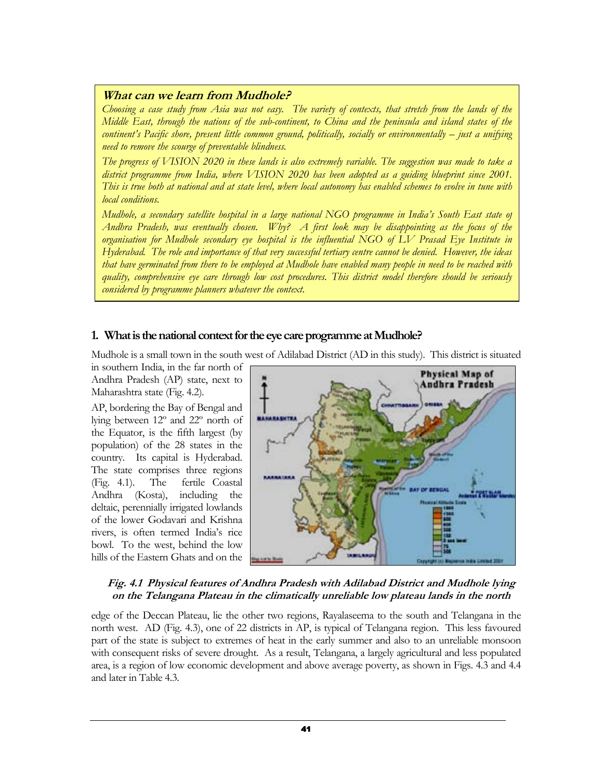### What can we learn from Mudhole?

Choosing a case study from Asia was not easy. The variety of contexts, that stretch from the lands of the Middle East, through the nations of the sub-continent, to China and the peninsula and island states of the continent's Pacific shore, present little common ground, politically, socially or environmentally – just a unifying need to remove the scourge of preventable blindness.

The progress of VISION 2020 in these lands is also extremely variable. The suggestion was made to take a district programme from India, where VISION 2020 has been adopted as a guiding blueprint since 2001. This is true both at national and at state level, where local autonomy has enabled schemes to evolve in tune with local conditions.

Mudhole, a secondary satellite hospital in a large national NGO programme in India's South East state of Andhra Pradesh, was eventually chosen. Why? A first look may be disappointing as the focus of the organisation for Mudhole secondary eye hospital is the influential NGO of LV Prasad Eye Institute in Hyderabad. The role and importance of that very successful tertiary centre cannot be denied. However, the ideas that have germinated from there to be employed at Mudhole have enabled many people in need to be reached with quality, comprehensive eye care through low cost procedures. This district model therefore should be seriously considered by programme planners whatever the context.

### 1. What is the national context for the eye care programme at Mudhole?

Mudhole is a small town in the south west of Adilabad District (AD in this study). This district is situated

in southern India, in the far north of Andhra Pradesh (AP) state, next to Maharashtra state (Fig. 4.2).

AP, bordering the Bay of Bengal and lying between 12º and 22º north of the Equator, is the fifth largest (by population) of the 28 states in the country. Its capital is Hyderabad. The state comprises three regions (Fig. 4.1). The fertile Coastal Andhra (Kosta), including the deltaic, perennially irrigated lowlands of the lower Godavari and Krishna rivers, is often termed India's rice bowl. To the west, behind the low hills of the Eastern Ghats and on the



### Fig. 4.1 Physical features of Andhra Pradesh with Adilabad District and Mudhole lying on the Telangana Plateau in the climatically unreliable low plateau lands in the north

edge of the Deccan Plateau, lie the other two regions, Rayalaseema to the south and Telangana in the north west. AD (Fig. 4.3), one of 22 districts in AP, is typical of Telangana region. This less favoured part of the state is subject to extremes of heat in the early summer and also to an unreliable monsoon with consequent risks of severe drought. As a result, Telangana, a largely agricultural and less populated area, is a region of low economic development and above average poverty, as shown in Figs. 4.3 and 4.4 and later in Table 4.3.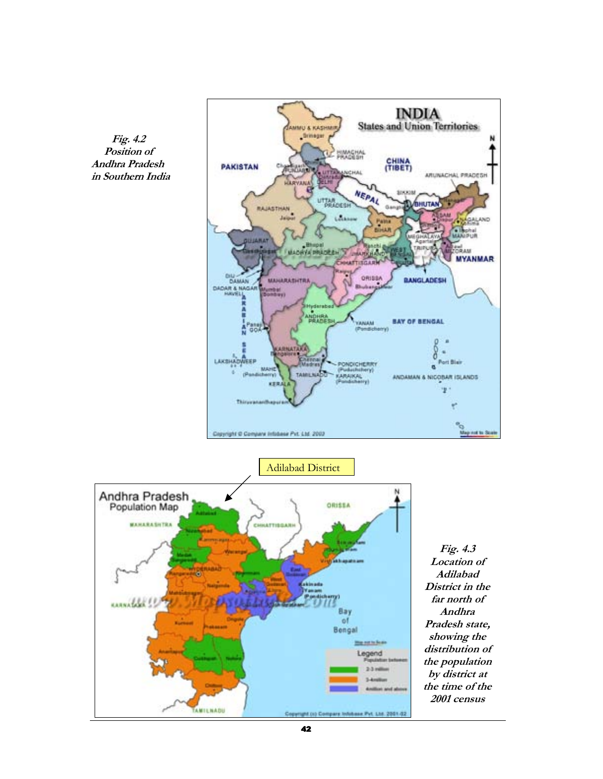



Adilabad DistrictAndhra Pradesh<br>Population Map **AZZIRO MAHARASHTRA** CHILATTIBOARH skinada united !! Bay of Bengal <u>Mig not to Sea</u> Legend 23 milli AMILNADU **M.DID** 

Fig. 4.3 Location of Adilabad District in the far north of Andhra Pradesh state, showing the distribution of the population by district at the time of the 2001 census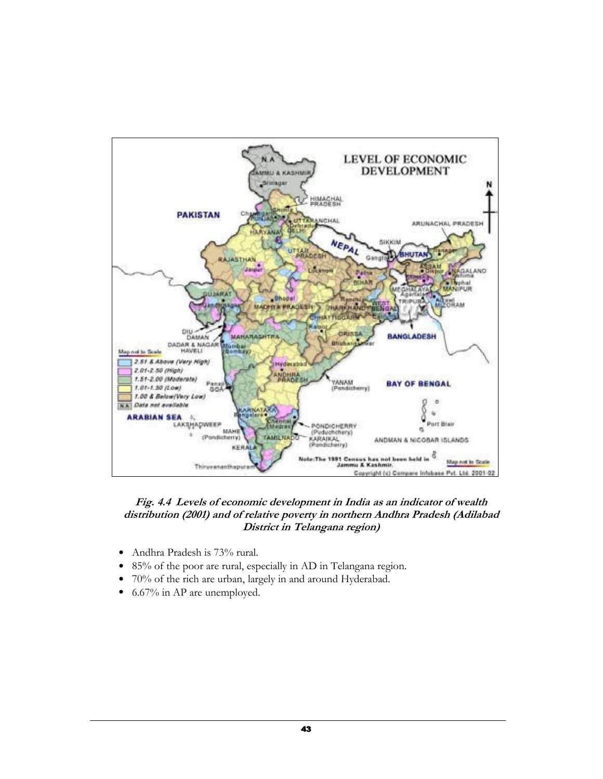

### Fig. 4.4 Levels of economic development in India as an indicator of wealth distribution (2001) and of relative poverty in northern Andhra Pradesh (Adilabad District in Telangana region)

- Andhra Pradesh is 73% rural.
- 85% of the poor are rural, especially in AD in Telangana region.
- 70% of the rich are urban, largely in and around Hyderabad.
- 6.67% in AP are unemployed.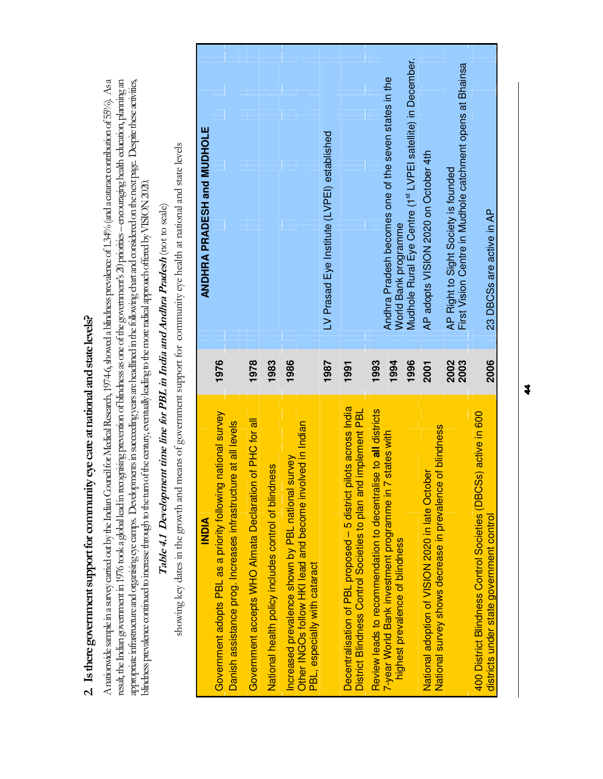2. Is there government support for community eye care at national and state levels? 2. Is there government support for community eye care at national and state levels?

result, the Indian government in 1976 took a global lead in recognising prevention of blindness as one of the government's 20 priorities – encouraging health education, planning an A nationwide sample in a survey carried out by the Indian Council for Medical Research, 1974-6, showed a blindness prevalence of 1.34% (and a cataract contribution of 55%). As a A nationwide sample in a survey carried out by the Indian Council for Medical Research, 1974-6, showed a blindness prevalence of 1.34% (and a cataract contribution of 55%). As a result, the Indian government in 1976 took a global lead in recognising prevention of blindness as one of the government's 20 priorities – encouraging health education, planning an appropriate infrastructure and organising eye camps. Developments in succeeding years are headlined in the following chart and considered on the nest page. Despite these activities, appropriate infrastructure and organising eye camps. Developments in succeeding years are headlined in the following chart and considered on the next page. Despite these activities, blindness prevalence continued to increase through to the turn of the century, eventually leading to the more radical approach offered by VISION 2020. blindness prevalence continued to increase through to the turn of the century, eventually leading to the more radical approach offered by VISION 2020.

# Table 4.1 Development time line for PBL in India and Andhra Pradesh (not to scale) Table 4.1 Development time line for PBL in India and Andhra Pradesh (not to scale)

showing key dates in the growth and means of government support for community eye health at national and state levels showing key dates in the growth and means of government support for community eye health at national and state levels

| <b>AIGNI</b>                                                                                                                       |      | ANDHRA PRADESH and MUDHOLE                                                    |
|------------------------------------------------------------------------------------------------------------------------------------|------|-------------------------------------------------------------------------------|
| national survey<br>Danish assistance prog. Increases infrastructure at all levels<br>Government adopts PBL as a priority following | 1976 |                                                                               |
| Government accepts WHO Almata Declaration of PHC for all                                                                           | 1978 |                                                                               |
| National health policy includes control of blindness                                                                               | 1983 |                                                                               |
| Increased prevalence shown by PBL national survey                                                                                  | 1986 |                                                                               |
| Other INGOs follow HKI lead and become involved in Indian<br>PBL, especially with cataract                                         |      |                                                                               |
|                                                                                                                                    | 1987 | LV Prasad Eye Institute (LVPEI) established                                   |
| Decentralisation of PBL proposed - 5 district pilots across India                                                                  | 1991 |                                                                               |
| District Blindness Control Societies to plan and implement PBL                                                                     |      |                                                                               |
| Review leads to recommendation to decentralise to all districts                                                                    | 1993 |                                                                               |
| 7 states with<br>7-year World Bank investment programme in 7<br>highest prevalence of blindness                                    | 1994 | Andhra Pradesh becomes one of the seven states in the<br>World Bank programme |
|                                                                                                                                    | 1996 | Mudhole Rural Eye Centre (1st LVPEI satellite) in December.                   |
| National survey shows decrease in prevalence of blindness<br>National adoption of VISION 2020 in late October                      | 2001 | AP adopts VISION 2020 on October 4th                                          |
|                                                                                                                                    | 2002 | AP Right to Sight Society is founded                                          |
|                                                                                                                                    | 2003 | First Vision Centre in Mudhole catchment opens at Bhainsa                     |
| 400 District Blindness Control Societies (DBCSs) active in 600<br>districts under state government control                         | 2006 | 23 DBCSs are active in AP                                                     |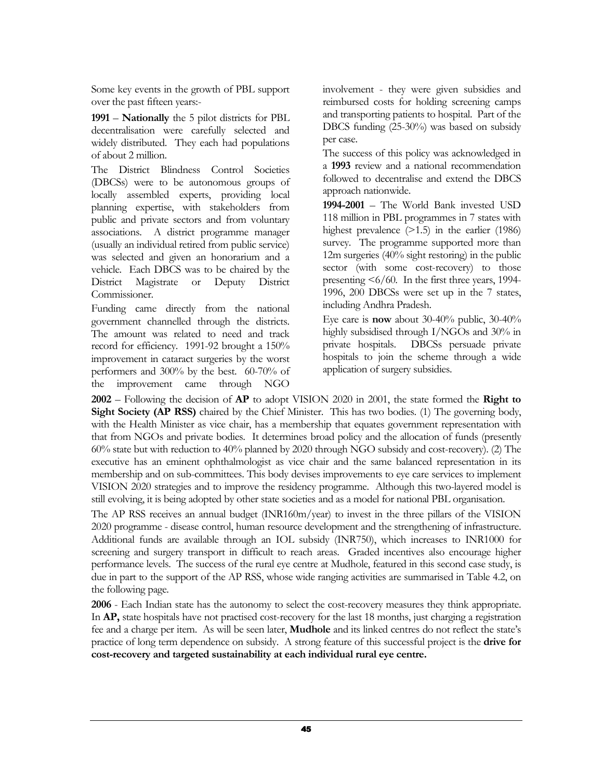Some key events in the growth of PBL support over the past fifteen years:-

1991 – Nationally the 5 pilot districts for PBL decentralisation were carefully selected and widely distributed. They each had populations of about 2 million.

The District Blindness Control Societies (DBCSs) were to be autonomous groups of locally assembled experts, providing local planning expertise, with stakeholders from public and private sectors and from voluntary associations. A district programme manager (usually an individual retired from public service) was selected and given an honorarium and a vehicle. Each DBCS was to be chaired by the District Magistrate or Deputy District Commissioner.

Funding came directly from the national government channelled through the districts. The amount was related to need and track record for efficiency. 1991-92 brought a 150% improvement in cataract surgeries by the worst performers and 300% by the best. 60-70% of the improvement came through NGO

involvement - they were given subsidies and reimbursed costs for holding screening camps and transporting patients to hospital. Part of the DBCS funding (25-30%) was based on subsidy per case.

The success of this policy was acknowledged in a 1993 review and a national recommendation followed to decentralise and extend the DBCS approach nationwide.

1994-2001 – The World Bank invested USD 118 million in PBL programmes in 7 states with highest prevalence (>1.5) in the earlier (1986) survey. The programme supported more than 12m surgeries (40% sight restoring) in the public sector (with some cost-recovery) to those presenting <6/60. In the first three years, 1994- 1996, 200 DBCSs were set up in the 7 states, including Andhra Pradesh.

Eye care is now about 30-40% public, 30-40% highly subsidised through I/NGOs and 30% in private hospitals. DBCSs persuade private hospitals to join the scheme through a wide application of surgery subsidies.

 $2002$  – Following the decision of  $AP$  to adopt VISION 2020 in 2001, the state formed the **Right to** Sight Society (AP RSS) chaired by the Chief Minister. This has two bodies. (1) The governing body, with the Health Minister as vice chair, has a membership that equates government representation with that from NGOs and private bodies. It determines broad policy and the allocation of funds (presently 60% state but with reduction to 40% planned by 2020 through NGO subsidy and cost-recovery). (2) The executive has an eminent ophthalmologist as vice chair and the same balanced representation in its membership and on sub-committees. This body devises improvements to eye care services to implement VISION 2020 strategies and to improve the residency programme. Although this two-layered model is still evolving, it is being adopted by other state societies and as a model for national PBL organisation.

The AP RSS receives an annual budget (INR160m/year) to invest in the three pillars of the VISION 2020 programme - disease control, human resource development and the strengthening of infrastructure. Additional funds are available through an IOL subsidy (INR750), which increases to INR1000 for screening and surgery transport in difficult to reach areas. Graded incentives also encourage higher performance levels. The success of the rural eye centre at Mudhole, featured in this second case study, is due in part to the support of the AP RSS, whose wide ranging activities are summarised in Table 4.2, on the following page.

2006 - Each Indian state has the autonomy to select the cost-recovery measures they think appropriate. In AP, state hospitals have not practised cost-recovery for the last 18 months, just charging a registration fee and a charge per item. As will be seen later, Mudhole and its linked centres do not reflect the state's practice of long term dependence on subsidy. A strong feature of this successful project is the drive for cost-recovery and targeted sustainability at each individual rural eye centre.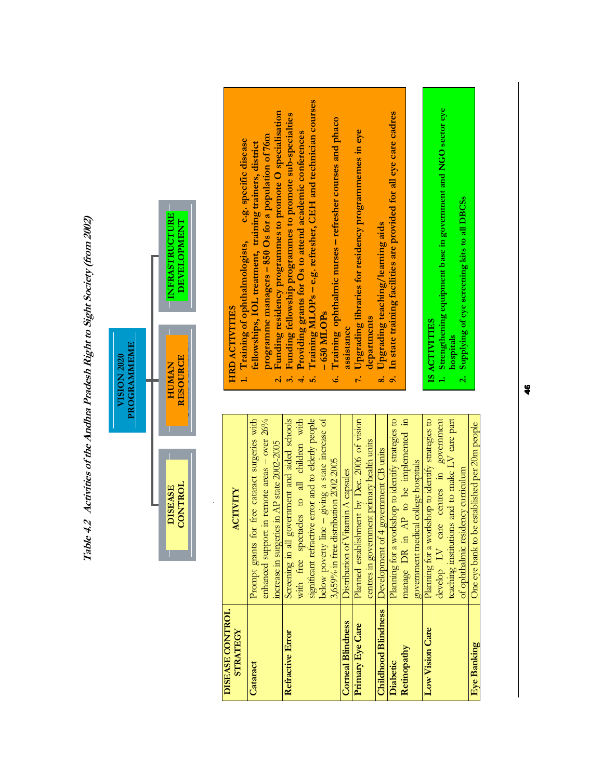

Table 4.2 Activities of the Andhra Pradesh Right to Sight Society (from 2002)

Table 4.2 Activities of the Andhra Pradesh Right to Sight Society (from 2002)

| <b>DISEASE CONTROL</b><br><b>STRATEGY</b> | ACTIVITY                                           |
|-------------------------------------------|----------------------------------------------------|
| Cataract                                  | Prompt grants for free cataract surgeries with     |
|                                           | enhanced support in remote areas - over 26%        |
|                                           | increase in surgeries in AP state 2002-2005        |
| Refractive Error                          | Screening in all government and aided schools      |
|                                           | with free spectacles to all children with          |
|                                           | significant refractive error and to elderly people |
|                                           | below poverty line – giving a state increase of    |
|                                           | 3,659% in free distribution 2002-2005              |
| <b>Corneal Blindness</b>                  | Distribution of Vitamin A capsules                 |
| Primary Eye Care                          | Planned establishment by Dec. 2006 of vision       |
|                                           | centres in government primary health units         |
| <b>Childhood Blindness</b>                | Development of 4 government CB units               |
| Diabetic                                  | Planning for a workshop to identify strategies to  |
| Retinopathy                               | manage DR in AP to be implemented in               |
|                                           | government medical college hospitals               |
| Low Vision Care                           | Planning for a workshop to identify strategies to  |
|                                           | develop LV care centres in government              |
|                                           | teaching institutions and to make LV care part     |
|                                           | of ophthalmic residency curriculum                 |
| Eye Banking                               | One eye bank to be established per 20m people      |

# **HRD ACTIVITIES** HRD ACTIVITIES

- programme managers 850 Os for a population of 76m programme managers – 850 Os for a population of 76m e.g. specific disease 1. Training of ophthalmologists, e.g. specific disease fellowships, IOL treatment, training trainers, district fellowships, IOL treatment, training trainers, district 1. Training of ophthalmologists,
- Funding residency programmes to promote O specialisation 2. Funding residency programmes to promote O specialisation
- Funding fellowship programmes to promote sub-specialties 3. Funding fellowship programmes to promote sub-specialties  $\vec{a}$   $\vec{a}$ 
	- Providing grants for Os to attend academic conferences 4. Providing grants for Os to attend academic conferences  $\frac{1}{2}$  is
- Training MLOPs e.g. refresher, CEH and technician courses 5. Training MLOPs – e.g. refresher, CEH and technician courses  $-650$  MLOP<sub>s</sub> – 650 MLOPs
	- 6. Training ophthalmic nurses refresher courses and phaco Training ophthalmic nurses - refresher courses and phaco assistance assistance  $\vec{6}$ 
		- 7. Upgrading libraries for residency programmemes in eye Upgrading libraries for residency programmemes in eye departments departments  $\mathbf{r}^{\mathbf{i}}$ 
			- 8. Upgrading teaching/learning aids Upgrading teaching/learning aids  $\ddot{\textbf{8}}$
- In state training facilities are provided for all eye care cadres 9. In state training facilities are provided for all eye care cadres  $\ddot{\circ}$

# IS ACTIVITIES IS ACTIVITIES

- 1. Strengthening equipment base in government and NGO sector eye Strengthening equipment base in government and NGO sector eye  $\ddot{ }$ 
	- 2. Supplying of eye screening kits to all DBCSs hospitals<br>Supplying of eye screening kits to all DBCSs  $\overline{\mathbf{a}}$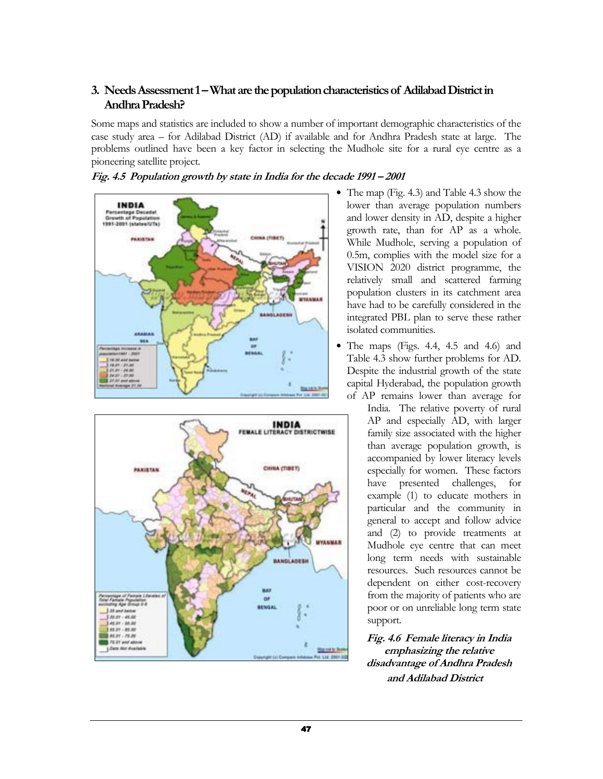### 3. Needs Assessment 1 – What are the population characteristics of Adilabad District in Andhra Pradesh?

Some maps and statistics are included to show a number of important demographic characteristics of the case study area – for Adilabad District (AD) if available and for Andhra Pradesh state at large. The problems outlined have been a key factor in selecting the Mudhole site for a rural eye centre as a pioneering satellite project.







- The map (Fig. 4.3) and Table 4.3 show the lower than average population numbers and lower density in AD, despite a higher growth rate, than for AP as a whole. While Mudhole, serving a population of 0.5m, complies with the model size for a VISION 2020 district programme, the relatively small and scattered farming population clusters in its catchment area have had to be carefully considered in the integrated PBL plan to serve these rather isolated communities.
- The maps (Figs. 4.4, 4.5 and 4.6) and Table 4.3 show further problems for AD. Despite the industrial growth of the state capital Hyderabad, the population growth of AP remains lower than average for

India. The relative poverty of rural AP and especially AD, with larger family size associated with the higher than average population growth, is accompanied by lower literacy levels especially for women. These factors have presented challenges, for example (1) to educate mothers in particular and the community in general to accept and follow advice and (2) to provide treatments at Mudhole eye centre that can meet long term needs with sustainable resources. Such resources cannot be dependent on either cost-recovery from the majority of patients who are poor or on unreliable long term state support.

Fig. 4.6 Female literacy in India emphasizing the relative disadvantage of Andhra Pradesh and Adilabad District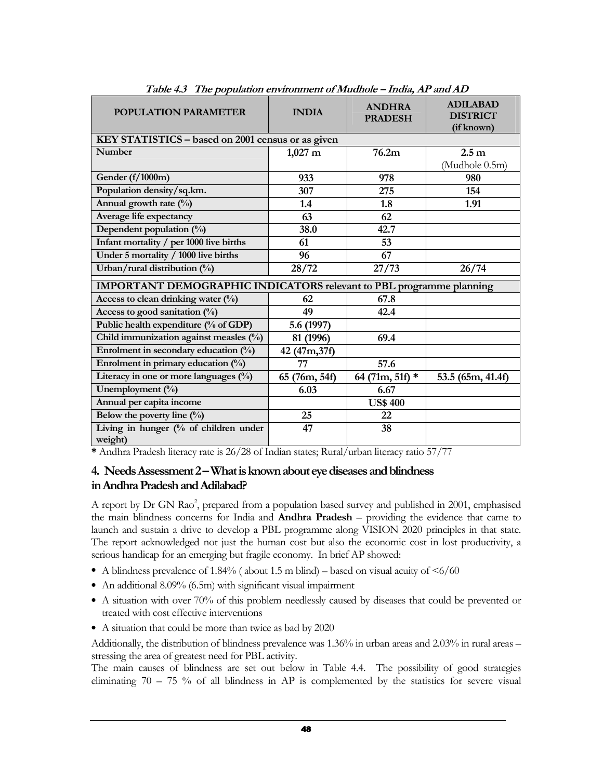| <b>POPULATION PARAMETER</b>                                         | <b>INDIA</b>          | <b>ANDHRA</b><br><b>PRADESH</b> | <b>ADILABAD</b><br><b>DISTRICT</b><br>(if known) |  |
|---------------------------------------------------------------------|-----------------------|---------------------------------|--------------------------------------------------|--|
| KEY STATISTICS - based on 2001 census or as given                   |                       |                                 |                                                  |  |
| <b>Number</b>                                                       | $1,027 \; \mathrm{m}$ | 76.2m                           | 2.5 <sub>m</sub>                                 |  |
|                                                                     |                       |                                 | (Mudhole 0.5m)                                   |  |
| Gender (f/1000m)                                                    | 933                   | 978                             | 980                                              |  |
| Population density/sq.km.                                           | 307                   | 275                             | 154                                              |  |
| Annual growth rate (%)                                              | 1.4                   | 1.8                             | 1.91                                             |  |
| Average life expectancy                                             | 63                    | 62                              |                                                  |  |
| Dependent population (%)                                            | 38.0                  | 42.7                            |                                                  |  |
| Infant mortality / per 1000 live births                             | 61                    | 53                              |                                                  |  |
| Under 5 mortality / 1000 live births                                | 96                    | 67                              |                                                  |  |
| Urban/rural distribution $(\%)$                                     | 28/72                 | 27/73                           | 26/74                                            |  |
| IMPORTANT DEMOGRAPHIC INDICATORS relevant to PBL programme planning |                       |                                 |                                                  |  |
| Access to clean drinking water (%)                                  | 62                    | 67.8                            |                                                  |  |
| Access to good sanitation (%)                                       | 49                    | 42.4                            |                                                  |  |
| Public health expenditure (% of GDP)                                | 5.6 (1997)            |                                 |                                                  |  |
| Child immunization against measles (%)                              | 81 (1996)             | 69.4                            |                                                  |  |
| Enrolment in secondary education $(\%)$                             | 42 (47m, 37f)         |                                 |                                                  |  |
| Enrolment in primary education $(\%)$                               | 77                    | 57.6                            |                                                  |  |
| Literacy in one or more languages (%)                               | 65 (76m, 54f)         | 64 (71m, 51f) $*$               | 53.5 (65m, 41.4f)                                |  |
| Unemployment $(\%)$                                                 | 6.03                  | 6.67                            |                                                  |  |
| Annual per capita income                                            |                       | <b>US\$ 400</b>                 |                                                  |  |
| Below the poverty line $(\%)$                                       | 25                    | 22                              |                                                  |  |
| Living in hunger (% of children under                               | 47                    | 38                              |                                                  |  |
| weight)                                                             |                       |                                 |                                                  |  |

Table 4.3 The population environment of Mudhole – India, AP and AD

\* Andhra Pradesh literacy rate is 26/28 of Indian states; Rural/urban literacy ratio 57/77

### 4. Needs Assessment 2 – What is known about eye diseases and blindness in Andhra Pradesh and Adilabad?

A report by Dr GN Rao<sup>2</sup>, prepared from a population based survey and published in 2001, emphasised the main blindness concerns for India and Andhra Pradesh – providing the evidence that came to launch and sustain a drive to develop a PBL programme along VISION 2020 principles in that state. The report acknowledged not just the human cost but also the economic cost in lost productivity, a serious handicap for an emerging but fragile economy. In brief AP showed:

- A blindness prevalence of 1.84% (about 1.5 m blind) based on visual acuity of  $\leq 6/60$
- An additional 8.09% (6.5m) with significant visual impairment
- A situation with over 70% of this problem needlessly caused by diseases that could be prevented or treated with cost effective interventions
- A situation that could be more than twice as bad by 2020

Additionally, the distribution of blindness prevalence was 1.36% in urban areas and 2.03% in rural areas – stressing the area of greatest need for PBL activity.

The main causes of blindness are set out below in Table 4.4. The possibility of good strategies eliminating 70 – 75 % of all blindness in AP is complemented by the statistics for severe visual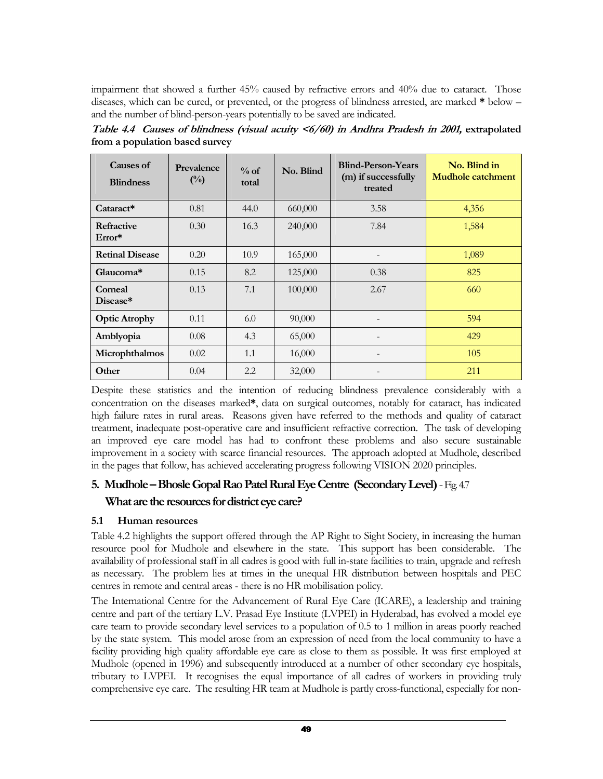impairment that showed a further 45% caused by refractive errors and 40% due to cataract. Those diseases, which can be cured, or prevented, or the progress of blindness arrested, are marked \* below – and the number of blind-person-years potentially to be saved are indicated.

| Causes of<br><b>Blindness</b> | Prevalence<br>$(^{0}/_{0})$ | $\%$ of<br>total | No. Blind | <b>Blind-Person-Years</b><br>(m) if successfully<br>treated | No. Blind in<br><b>Mudhole catchment</b> |
|-------------------------------|-----------------------------|------------------|-----------|-------------------------------------------------------------|------------------------------------------|
| $Cataract*$                   | 0.81                        | 44.0             | 660,000   | 3.58                                                        | 4,356                                    |
| <b>Refractive</b><br>$Error*$ | 0.30                        | 16.3             | 240,000   | 7.84                                                        | 1,584                                    |
| <b>Retinal Disease</b>        | 0.20                        | 10.9             | 165,000   |                                                             | 1,089                                    |
| Glaucoma*                     | 0.15                        | 8.2              | 125,000   | 0.38                                                        | 825                                      |
| Corneal<br>Disease*           | 0.13                        | 7.1              | 100,000   | 2.67                                                        | 660                                      |
| <b>Optic Atrophy</b>          | 0.11                        | 6.0              | 90,000    |                                                             | 594                                      |
| Amblyopia                     | 0.08                        | 4.3              | 65,000    |                                                             | 429                                      |
| Microphthalmos                | 0.02                        | 1.1              | 16,000    |                                                             | 105                                      |
| Other                         | 0.04                        | 2.2              | 32,000    |                                                             | 211                                      |

Table 4.4 Causes of blindness (visual acuity <6/60) in Andhra Pradesh in 2001, extrapolated from a population based survey

Despite these statistics and the intention of reducing blindness prevalence considerably with a concentration on the diseases marked\*, data on surgical outcomes, notably for cataract, has indicated high failure rates in rural areas. Reasons given have referred to the methods and quality of cataract treatment, inadequate post-operative care and insufficient refractive correction. The task of developing an improved eye care model has had to confront these problems and also secure sustainable improvement in a society with scarce financial resources. The approach adopted at Mudhole, described in the pages that follow, has achieved accelerating progress following VISION 2020 principles.

### 5. Mudhole – Bhosle Gopal Rao Patel Rural Eye Centre (Secondary Level) - Fig. 4.7 What are the resources for district eye care?

### 5.1 Human resources

Table 4.2 highlights the support offered through the AP Right to Sight Society, in increasing the human resource pool for Mudhole and elsewhere in the state. This support has been considerable. The availability of professional staff in all cadres is good with full in-state facilities to train, upgrade and refresh as necessary. The problem lies at times in the unequal HR distribution between hospitals and PEC centres in remote and central areas - there is no HR mobilisation policy.

The International Centre for the Advancement of Rural Eye Care (ICARE), a leadership and training centre and part of the tertiary L.V. Prasad Eye Institute (LVPEI) in Hyderabad, has evolved a model eye care team to provide secondary level services to a population of 0.5 to 1 million in areas poorly reached by the state system. This model arose from an expression of need from the local community to have a facility providing high quality affordable eye care as close to them as possible. It was first employed at Mudhole (opened in 1996) and subsequently introduced at a number of other secondary eye hospitals, tributary to LVPEI. It recognises the equal importance of all cadres of workers in providing truly comprehensive eye care. The resulting HR team at Mudhole is partly cross-functional, especially for non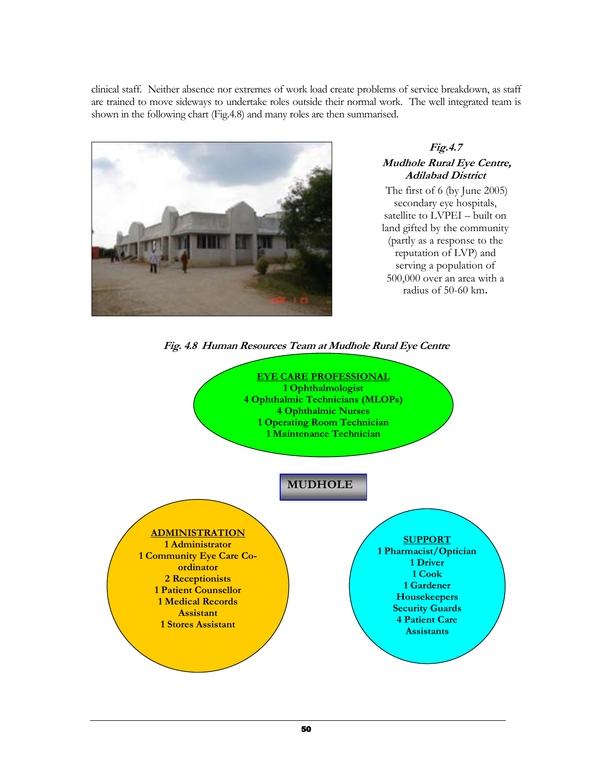clinical staff. Neither absence nor extremes of work load create problems of service breakdown, as staff are trained to move sideways to undertake roles outside their normal work. The well integrated team is shown in the following chart (Fig.4.8) and many roles are then summarised.



### Fig.4.7 Mudhole Rural Eye Centre, Adilabad District

The first of 6 (by June 2005) secondary eye hospitals, satellite to LVPEI – built on land gifted by the community (partly as a response to the reputation of LVP) and serving a population of 500,000 over an area with a radius of 50-60 km.



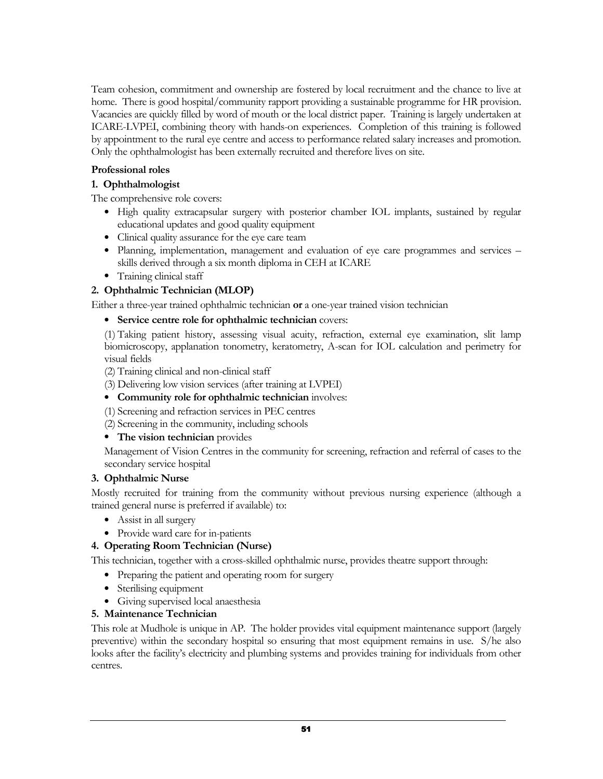Team cohesion, commitment and ownership are fostered by local recruitment and the chance to live at home. There is good hospital/community rapport providing a sustainable programme for HR provision. Vacancies are quickly filled by word of mouth or the local district paper. Training is largely undertaken at ICARE-LVPEI, combining theory with hands-on experiences. Completion of this training is followed by appointment to the rural eye centre and access to performance related salary increases and promotion. Only the ophthalmologist has been externally recruited and therefore lives on site.

### Professional roles

### 1. Ophthalmologist

The comprehensive role covers:

- High quality extracapsular surgery with posterior chamber IOL implants, sustained by regular educational updates and good quality equipment
- Clinical quality assurance for the eye care team
- Planning, implementation, management and evaluation of eye care programmes and services skills derived through a six month diploma in CEH at ICARE
- Training clinical staff

### 2. Ophthalmic Technician (MLOP)

Either a three-year trained ophthalmic technician or a one-year trained vision technician

### • Service centre role for ophthalmic technician covers:

(1) Taking patient history, assessing visual acuity, refraction, external eye examination, slit lamp biomicroscopy, applanation tonometry, keratometry, A-scan for IOL calculation and perimetry for visual fields

(2) Training clinical and non-clinical staff

- (3) Delivering low vision services (after training at LVPEI)
- Community role for ophthalmic technician involves:

(1) Screening and refraction services in PEC centres

(2) Screening in the community, including schools

### • The vision technician provides

Management of Vision Centres in the community for screening, refraction and referral of cases to the secondary service hospital

### 3. Ophthalmic Nurse

Mostly recruited for training from the community without previous nursing experience (although a trained general nurse is preferred if available) to:

- Assist in all surgery
- Provide ward care for in-patients

### 4. Operating Room Technician (Nurse)

This technician, together with a cross-skilled ophthalmic nurse, provides theatre support through:

- Preparing the patient and operating room for surgery
- Sterilising equipment
- Giving supervised local anaesthesia

### 5. Maintenance Technician

This role at Mudhole is unique in AP. The holder provides vital equipment maintenance support (largely preventive) within the secondary hospital so ensuring that most equipment remains in use. S/he also looks after the facility's electricity and plumbing systems and provides training for individuals from other centres.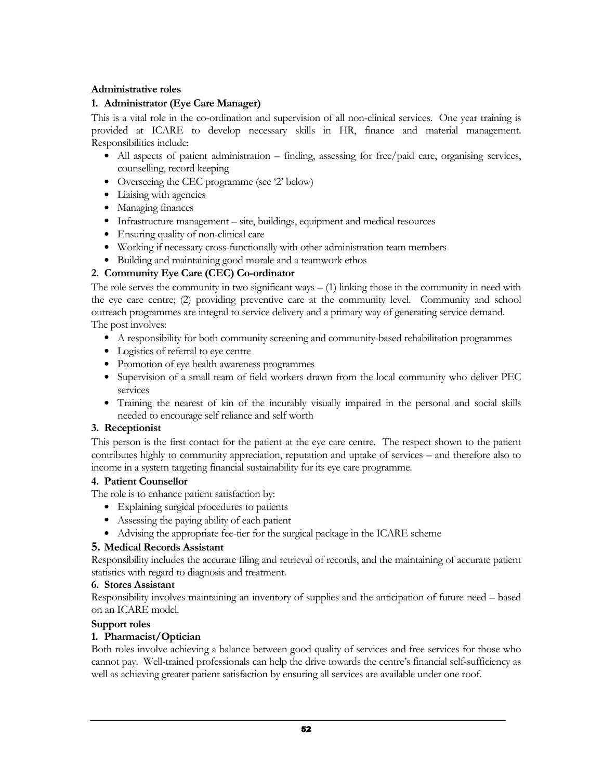### Administrative roles

### 1. Administrator (Eye Care Manager)

This is a vital role in the co-ordination and supervision of all non-clinical services. One year training is provided at ICARE to develop necessary skills in HR, finance and material management. Responsibilities include:

- All aspects of patient administration finding, assessing for free/paid care, organising services, counselling, record keeping
- Overseeing the CEC programme (see '2' below)
- Liaising with agencies
- Managing finances
- Infrastructure management site, buildings, equipment and medical resources
- Ensuring quality of non-clinical care
- Working if necessary cross-functionally with other administration team members
- Building and maintaining good morale and a teamwork ethos

### 2. Community Eye Care (CEC) Co-ordinator

The role serves the community in two significant ways  $-$  (1) linking those in the community in need with the eye care centre; (2) providing preventive care at the community level. Community and school outreach programmes are integral to service delivery and a primary way of generating service demand. The post involves:

- A responsibility for both community screening and community-based rehabilitation programmes
- Logistics of referral to eye centre
- Promotion of eye health awareness programmes
- Supervision of a small team of field workers drawn from the local community who deliver PEC services
- Training the nearest of kin of the incurably visually impaired in the personal and social skills needed to encourage self reliance and self worth

### 3. Receptionist

This person is the first contact for the patient at the eye care centre. The respect shown to the patient contributes highly to community appreciation, reputation and uptake of services – and therefore also to income in a system targeting financial sustainability for its eye care programme.

### 4. Patient Counsellor

The role is to enhance patient satisfaction by:

- Explaining surgical procedures to patients
- Assessing the paying ability of each patient
- Advising the appropriate fee-tier for the surgical package in the ICARE scheme

### 5. Medical Records Assistant

Responsibility includes the accurate filing and retrieval of records, and the maintaining of accurate patient statistics with regard to diagnosis and treatment.

### 6. Stores Assistant

Responsibility involves maintaining an inventory of supplies and the anticipation of future need – based on an ICARE model.

### Support roles

### 1. Pharmacist/Optician

Both roles involve achieving a balance between good quality of services and free services for those who cannot pay. Well-trained professionals can help the drive towards the centre's financial self-sufficiency as well as achieving greater patient satisfaction by ensuring all services are available under one roof.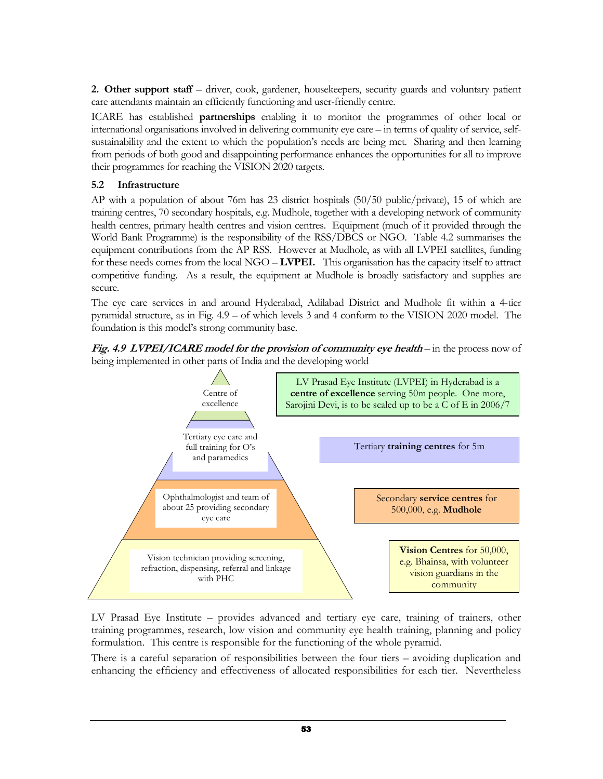2. Other support staff – driver, cook, gardener, housekeepers, security guards and voluntary patient care attendants maintain an efficiently functioning and user-friendly centre.

ICARE has established partnerships enabling it to monitor the programmes of other local or international organisations involved in delivering community eye care – in terms of quality of service, selfsustainability and the extent to which the population's needs are being met. Sharing and then learning from periods of both good and disappointing performance enhances the opportunities for all to improve their programmes for reaching the VISION 2020 targets.

### 5.2 Infrastructure

AP with a population of about 76m has 23 district hospitals (50/50 public/private), 15 of which are training centres, 70 secondary hospitals, e.g. Mudhole, together with a developing network of community health centres, primary health centres and vision centres. Equipment (much of it provided through the World Bank Programme) is the responsibility of the RSS/DBCS or NGO. Table 4.2 summarises the equipment contributions from the AP RSS. However at Mudhole, as with all LVPEI satellites, funding for these needs comes from the local NGO – **LVPEI.** This organisation has the capacity itself to attract competitive funding. As a result, the equipment at Mudhole is broadly satisfactory and supplies are secure.

The eye care services in and around Hyderabad, Adilabad District and Mudhole fit within a 4-tier pyramidal structure, as in Fig. 4.9 – of which levels 3 and 4 conform to the VISION 2020 model. The foundation is this model's strong community base.

Fig. 4.9 LVPEI/ICARE model for the provision of community eye health – in the process now of being implemented in other parts of India and the developing world



LV Prasad Eye Institute – provides advanced and tertiary eye care, training of trainers, other training programmes, research, low vision and community eye health training, planning and policy formulation. This centre is responsible for the functioning of the whole pyramid.

There is a careful separation of responsibilities between the four tiers – avoiding duplication and enhancing the efficiency and effectiveness of allocated responsibilities for each tier. Nevertheless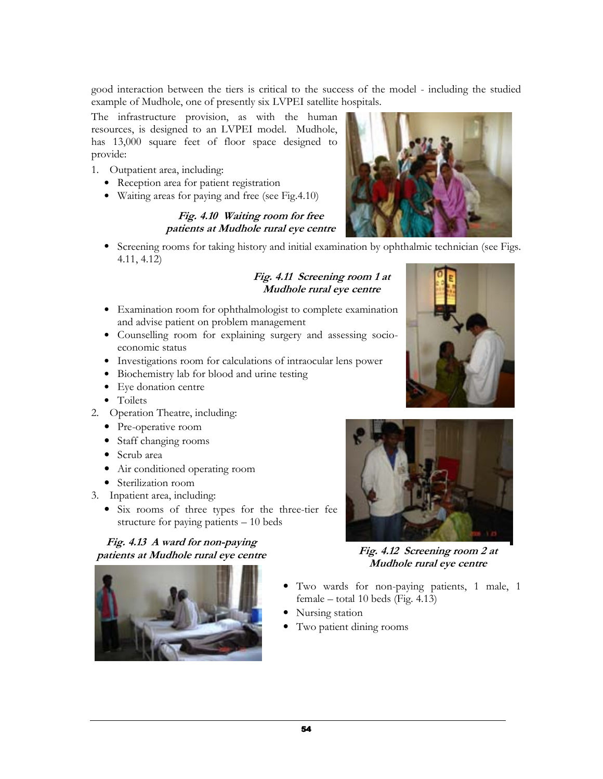good interaction between the tiers is critical to the success of the model - including the studied example of Mudhole, one of presently six LVPEI satellite hospitals.

The infrastructure provision, as with the human resources, is designed to an LVPEI model. Mudhole, has 13,000 square feet of floor space designed to provide:

- 1. Outpatient area, including:
	- Reception area for patient registration
	- Waiting areas for paying and free (see Fig.4.10)

### Fig. 4.10 Waiting room for free patients at Mudhole rural eye centre

• Screening rooms for taking history and initial examination by ophthalmic technician (see Figs. 4.11, 4.12)

### Fig. 4.11 Screening room 1 at Mudhole rural eye centre

- Examination room for ophthalmologist to complete examination and advise patient on problem management
- Counselling room for explaining surgery and assessing socioeconomic status
- Investigations room for calculations of intraocular lens power
- Biochemistry lab for blood and urine testing
- Eye donation centre
- Toilets
- 2. Operation Theatre, including:
	- Pre-operative room
	- Staff changing rooms
	- Scrub area
	- Air conditioned operating room
	- Sterilization room
- 3. Inpatient area, including:
	- Six rooms of three types for the three-tier fee structure for paying patients – 10 beds

### Fig. 4.13 A ward for non-paying patients at Mudhole rural eye centre







Fig. 4.12 Screening room 2 at Mudhole rural eye centre

- Two wards for non-paying patients, 1 male, 1 female – total 10 beds (Fig. 4.13)
- Nursing station
- Two patient dining rooms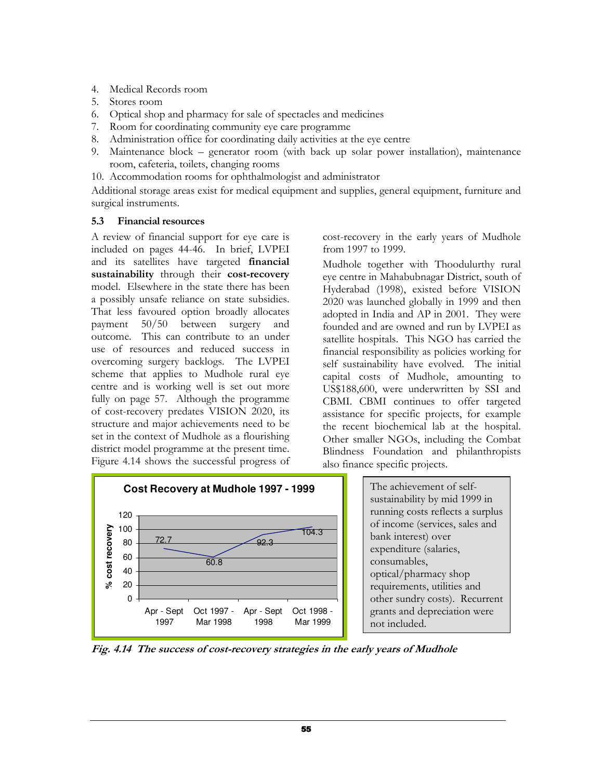- 4. Medical Records room
- 5. Stores room
- 6. Optical shop and pharmacy for sale of spectacles and medicines
- 7. Room for coordinating community eye care programme
- 8. Administration office for coordinating daily activities at the eye centre
- 9. Maintenance block generator room (with back up solar power installation), maintenance room, cafeteria, toilets, changing rooms
- 10. Accommodation rooms for ophthalmologist and administrator

Additional storage areas exist for medical equipment and supplies, general equipment, furniture and surgical instruments.

### 5.3 Financial resources

A review of financial support for eye care is included on pages 44-46. In brief, LVPEI and its satellites have targeted financial sustainability through their cost-recovery model. Elsewhere in the state there has been a possibly unsafe reliance on state subsidies. That less favoured option broadly allocates payment 50/50 between surgery and outcome. This can contribute to an under use of resources and reduced success in overcoming surgery backlogs. The LVPEI scheme that applies to Mudhole rural eye centre and is working well is set out more fully on page 57. Although the programme of cost-recovery predates VISION 2020, its structure and major achievements need to be set in the context of Mudhole as a flourishing district model programme at the present time. Figure 4.14 shows the successful progress of



cost-recovery in the early years of Mudhole from 1997 to 1999.

Mudhole together with Thoodulurthy rural eye centre in Mahabubnagar District, south of Hyderabad (1998), existed before VISION 2020 was launched globally in 1999 and then adopted in India and AP in 2001. They were founded and are owned and run by LVPEI as satellite hospitals. This NGO has carried the financial responsibility as policies working for self sustainability have evolved. The initial capital costs of Mudhole, amounting to US\$188,600, were underwritten by SSI and CBMI. CBMI continues to offer targeted assistance for specific projects, for example the recent biochemical lab at the hospital. Other smaller NGOs, including the Combat Blindness Foundation and philanthropists also finance specific projects.

> The achievement of selfsustainability by mid 1999 in running costs reflects a surplus of income (services, sales and bank interest) over expenditure (salaries, consumables, optical/pharmacy shop requirements, utilities and other sundry costs). Recurrent grants and depreciation were not included.

Fig. 4.14 The success of cost-recovery strategies in the early years of Mudhole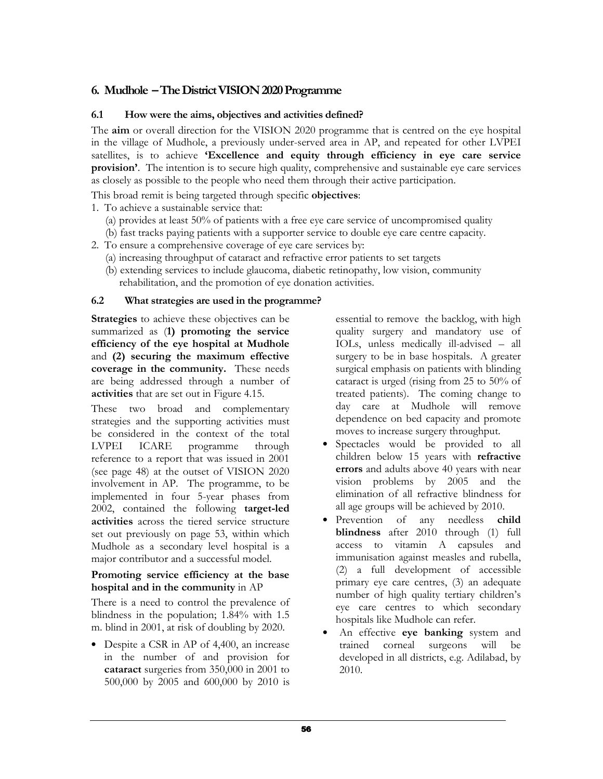### 6. Mudhole – The District VISION 2020 Programme

### 6.1 How were the aims, objectives and activities defined?

The aim or overall direction for the VISION 2020 programme that is centred on the eye hospital in the village of Mudhole, a previously under-served area in AP, and repeated for other LVPEI satellites, is to achieve 'Excellence and equity through efficiency in eye care service provision'. The intention is to secure high quality, comprehensive and sustainable eye care services as closely as possible to the people who need them through their active participation.

This broad remit is being targeted through specific objectives:

- 1. To achieve a sustainable service that:
	- (a) provides at least 50% of patients with a free eye care service of uncompromised quality
	- (b) fast tracks paying patients with a supporter service to double eye care centre capacity.
- 2. To ensure a comprehensive coverage of eye care services by:
	- (a) increasing throughput of cataract and refractive error patients to set targets
	- (b) extending services to include glaucoma, diabetic retinopathy, low vision, community rehabilitation, and the promotion of eye donation activities.

### 6.2 What strategies are used in the programme?

Strategies to achieve these objectives can be summarized as (1) promoting the service efficiency of the eye hospital at Mudhole and (2) securing the maximum effective coverage in the community. These needs are being addressed through a number of activities that are set out in Figure 4.15.

These two broad and complementary strategies and the supporting activities must be considered in the context of the total LVPEI ICARE programme through reference to a report that was issued in 2001 (see page 48) at the outset of VISION 2020 involvement in AP. The programme, to be implemented in four 5-year phases from 2002, contained the following target-led activities across the tiered service structure set out previously on page 53, within which Mudhole as a secondary level hospital is a major contributor and a successful model.

### Promoting service efficiency at the base hospital and in the community in AP

There is a need to control the prevalence of blindness in the population; 1.84% with 1.5 m. blind in 2001, at risk of doubling by 2020.

• Despite a CSR in AP of 4,400, an increase in the number of and provision for cataract surgeries from 350,000 in 2001 to 500,000 by 2005 and 600,000 by 2010 is essential to remove the backlog, with high quality surgery and mandatory use of IOLs, unless medically ill-advised – all surgery to be in base hospitals. A greater surgical emphasis on patients with blinding cataract is urged (rising from 25 to 50% of treated patients). The coming change to day care at Mudhole will remove dependence on bed capacity and promote moves to increase surgery throughput.

- Spectacles would be provided to all children below 15 years with refractive errors and adults above 40 years with near vision problems by 2005 and the elimination of all refractive blindness for all age groups will be achieved by 2010.
- Prevention of any needless child blindness after 2010 through (1) full access to vitamin A capsules and immunisation against measles and rubella, (2) a full development of accessible primary eye care centres, (3) an adequate number of high quality tertiary children's eye care centres to which secondary hospitals like Mudhole can refer.
- An effective eye banking system and trained corneal surgeons will be developed in all districts, e.g. Adilabad, by 2010.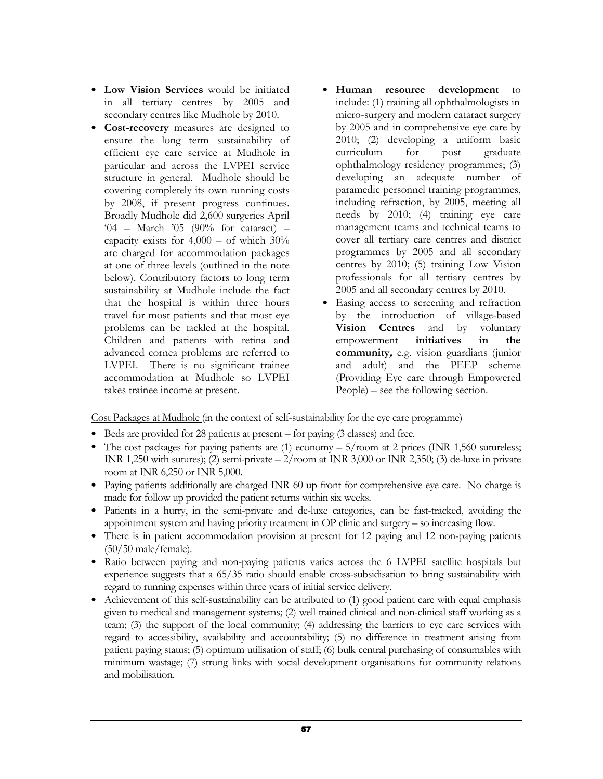- Low Vision Services would be initiated in all tertiary centres by 2005 and secondary centres like Mudhole by 2010.
- Cost-recovery measures are designed to ensure the long term sustainability of efficient eye care service at Mudhole in particular and across the LVPEI service structure in general. Mudhole should be covering completely its own running costs by 2008, if present progress continues. Broadly Mudhole did 2,600 surgeries April '04 – March '05 (90% for cataract) – capacity exists for  $4,000 -$  of which  $30\%$ are charged for accommodation packages at one of three levels (outlined in the note below). Contributory factors to long term sustainability at Mudhole include the fact that the hospital is within three hours travel for most patients and that most eye problems can be tackled at the hospital. Children and patients with retina and advanced cornea problems are referred to LVPEI. There is no significant trainee accommodation at Mudhole so LVPEI takes trainee income at present.
- Human resource development to include: (1) training all ophthalmologists in micro-surgery and modern cataract surgery by 2005 and in comprehensive eye care by 2010; (2) developing a uniform basic curriculum for post graduate ophthalmology residency programmes; (3) developing an adequate number of paramedic personnel training programmes, including refraction, by 2005, meeting all needs by 2010; (4) training eye care management teams and technical teams to cover all tertiary care centres and district programmes by 2005 and all secondary centres by 2010; (5) training Low Vision professionals for all tertiary centres by 2005 and all secondary centres by 2010.
- Easing access to screening and refraction by the introduction of village-based Vision Centres and by voluntary empowerment initiatives in the community, e.g. vision guardians (junior and adult) and the PEEP scheme (Providing Eye care through Empowered People) – see the following section.

Cost Packages at Mudhole (in the context of self-sustainability for the eye care programme)

- Beds are provided for 28 patients at present for paying (3 classes) and free.
- The cost packages for paying patients are (1) economy  $-5$ /room at 2 prices (INR 1,560 sutureless; INR 1,250 with sutures); (2) semi-private  $-2$ /room at INR 3,000 or INR 2,350; (3) de-luxe in private room at INR 6,250 or INR 5,000.
- Paying patients additionally are charged INR 60 up front for comprehensive eye care. No charge is made for follow up provided the patient returns within six weeks.
- Patients in a hurry, in the semi-private and de-luxe categories, can be fast-tracked, avoiding the appointment system and having priority treatment in OP clinic and surgery – so increasing flow.
- There is in patient accommodation provision at present for 12 paying and 12 non-paying patients (50/50 male/female).
- Ratio between paying and non-paying patients varies across the 6 LVPEI satellite hospitals but experience suggests that a 65/35 ratio should enable cross-subsidisation to bring sustainability with regard to running expenses within three years of initial service delivery.
- Achievement of this self-sustainability can be attributed to (1) good patient care with equal emphasis given to medical and management systems; (2) well trained clinical and non-clinical staff working as a team; (3) the support of the local community; (4) addressing the barriers to eye care services with regard to accessibility, availability and accountability; (5) no difference in treatment arising from patient paying status; (5) optimum utilisation of staff; (6) bulk central purchasing of consumables with minimum wastage; (7) strong links with social development organisations for community relations and mobilisation.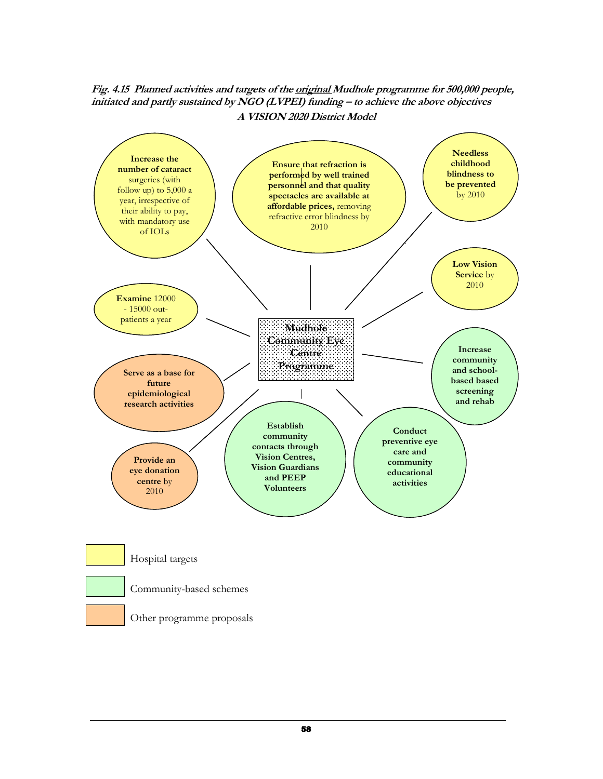Fig. 4.15 Planned activities and targets of the original Mudhole programme for 500,000 people, initiated and partly sustained by NGO (LVPEI) funding – to achieve the above objectives A VISION 2020 District Model

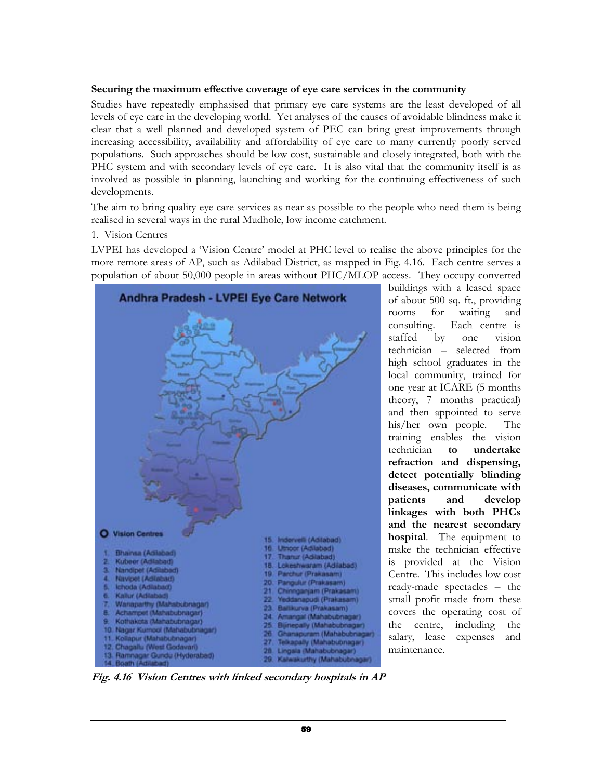### Securing the maximum effective coverage of eye care services in the community

Studies have repeatedly emphasised that primary eye care systems are the least developed of all levels of eye care in the developing world. Yet analyses of the causes of avoidable blindness make it clear that a well planned and developed system of PEC can bring great improvements through increasing accessibility, availability and affordability of eye care to many currently poorly served populations. Such approaches should be low cost, sustainable and closely integrated, both with the PHC system and with secondary levels of eye care. It is also vital that the community itself is as involved as possible in planning, launching and working for the continuing effectiveness of such developments.

The aim to bring quality eye care services as near as possible to the people who need them is being realised in several ways in the rural Mudhole, low income catchment.

### 1. Vision Centres

LVPEI has developed a 'Vision Centre' model at PHC level to realise the above principles for the more remote areas of AP, such as Adilabad District, as mapped in Fig. 4.16. Each centre serves a population of about 50,000 people in areas without PHC/MLOP access. They occupy converted



buildings with a leased space of about 500 sq. ft., providing rooms for waiting and<br>consulting. Each centre is Each centre is staffed by one vision technician – selected from high school graduates in the local community, trained for one year at ICARE (5 months theory, 7 months practical) and then appointed to serve his/her own people. The training enables the vision technician to undertake refraction and dispensing, detect potentially blinding diseases, communicate with patients and develop linkages with both PHCs and the nearest secondary hospital. The equipment to make the technician effective is provided at the Vision Centre. This includes low cost ready-made spectacles – the small profit made from these covers the operating cost of the centre, including the salary, lease expenses and maintenance.

Fig. 4.16 Vision Centres with linked secondary hospitals in AP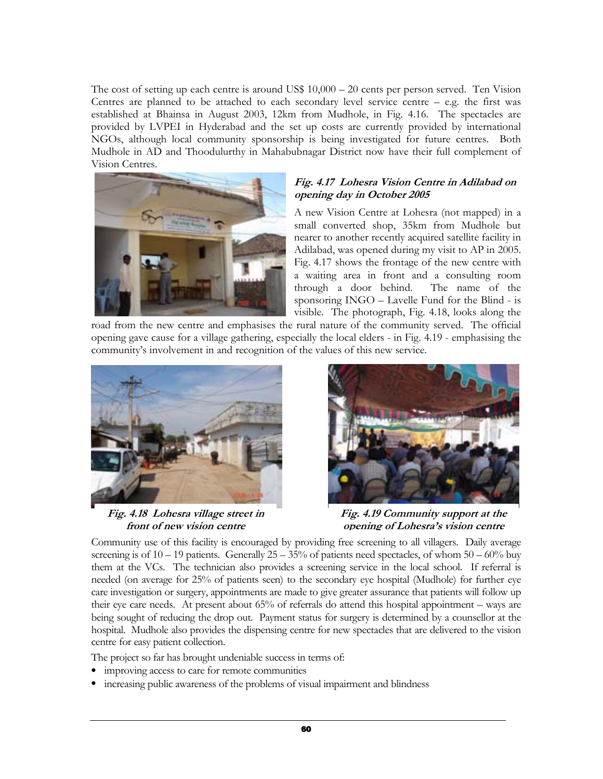The cost of setting up each centre is around US\$ 10,000 – 20 cents per person served. Ten Vision Centres are planned to be attached to each secondary level service centre  $-$  e.g. the first was established at Bhainsa in August 2003, 12km from Mudhole, in Fig. 4.16. The spectacles are provided by LVPEI in Hyderabad and the set up costs are currently provided by international NGOs, although local community sponsorship is being investigated for future centres. Both Mudhole in AD and Thoodulurthy in Mahabubnagar District now have their full complement of Vision Centres.



### Fig. 4.17 Lohesra Vision Centre in Adilabad on opening day in October 2005

A new Vision Centre at Lohesra (not mapped) in a small converted shop, 35km from Mudhole but nearer to another recently acquired satellite facility in Adilabad, was opened during my visit to AP in 2005. Fig. 4.17 shows the frontage of the new centre with a waiting area in front and a consulting room through a door behind. The name of the sponsoring INGO – Lavelle Fund for the Blind - is visible. The photograph, Fig. 4.18, looks along the

road from the new centre and emphasises the rural nature of the community served. The official opening gave cause for a village gathering, especially the local elders - in Fig. 4.19 - emphasising the community's involvement in and recognition of the values of this new service.



Fig. 4.18 Lohesra village street in front of new vision centre



Fig. 4.19 Community support at the opening of Lohesra's vision centre

Community use of this facility is encouraged by providing free screening to all villagers. Daily average screening is of  $10 - 19$  patients. Generally  $25 - 35%$  of patients need spectacles, of whom  $50 - 60%$  buy them at the VCs. The technician also provides a screening service in the local school. If referral is needed (on average for 25% of patients seen) to the secondary eye hospital (Mudhole) for further eye care investigation or surgery, appointments are made to give greater assurance that patients will follow up their eye care needs. At present about 65% of referrals do attend this hospital appointment – ways are being sought of reducing the drop out. Payment status for surgery is determined by a counsellor at the hospital. Mudhole also provides the dispensing centre for new spectacles that are delivered to the vision centre for easy patient collection.

The project so far has brought undeniable success in terms of:

- improving access to care for remote communities
- increasing public awareness of the problems of visual impairment and blindness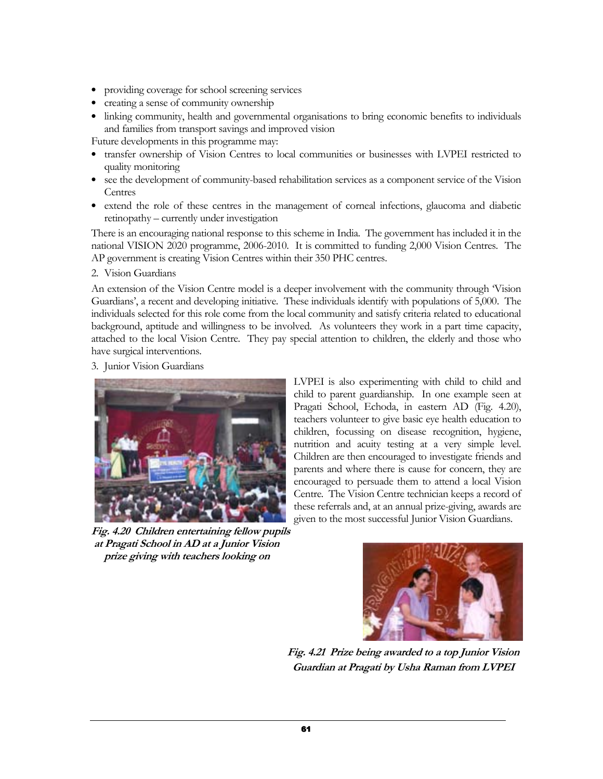- providing coverage for school screening services
- creating a sense of community ownership
- linking community, health and governmental organisations to bring economic benefits to individuals and families from transport savings and improved vision

Future developments in this programme may:

- transfer ownership of Vision Centres to local communities or businesses with LVPEI restricted to quality monitoring
- see the development of community-based rehabilitation services as a component service of the Vision Centres
- extend the role of these centres in the management of corneal infections, glaucoma and diabetic retinopathy – currently under investigation

There is an encouraging national response to this scheme in India. The government has included it in the national VISION 2020 programme, 2006-2010. It is committed to funding 2,000 Vision Centres. The AP government is creating Vision Centres within their 350 PHC centres.

2. Vision Guardians

An extension of the Vision Centre model is a deeper involvement with the community through 'Vision Guardians', a recent and developing initiative. These individuals identify with populations of 5,000. The individuals selected for this role come from the local community and satisfy criteria related to educational background, aptitude and willingness to be involved. As volunteers they work in a part time capacity, attached to the local Vision Centre. They pay special attention to children, the elderly and those who have surgical interventions.

3. Junior Vision Guardians



Fig. 4.20 Children entertaining fellow pupils at Pragati School in AD at a Junior Vision prize giving with teachers looking on

LVPEI is also experimenting with child to child and child to parent guardianship. In one example seen at Pragati School, Echoda, in eastern AD (Fig. 4.20), teachers volunteer to give basic eye health education to children, focussing on disease recognition, hygiene, nutrition and acuity testing at a very simple level. Children are then encouraged to investigate friends and parents and where there is cause for concern, they are encouraged to persuade them to attend a local Vision Centre. The Vision Centre technician keeps a record of these referrals and, at an annual prize-giving, awards are given to the most successful Junior Vision Guardians.



 Fig. 4.21 Prize being awarded to a top Junior Vision Guardian at Pragati by Usha Raman from LVPEI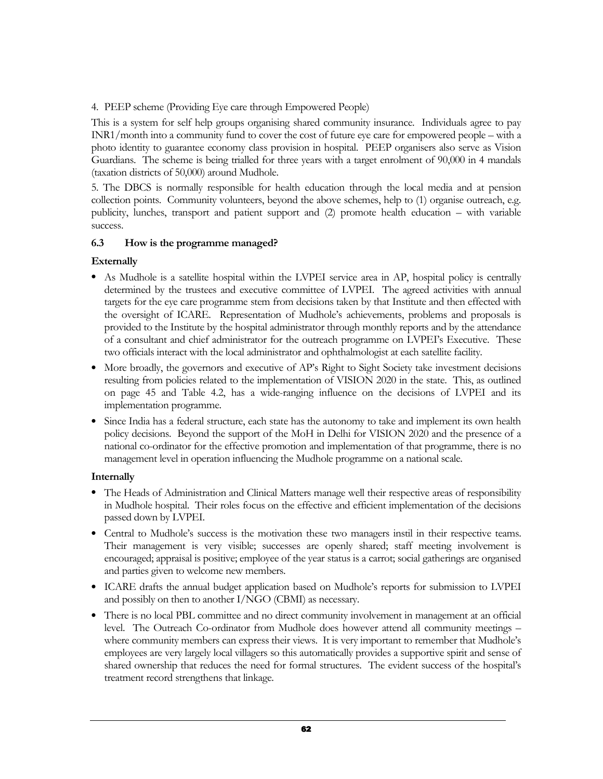4. PEEP scheme (Providing Eye care through Empowered People)

This is a system for self help groups organising shared community insurance. Individuals agree to pay INR1/month into a community fund to cover the cost of future eye care for empowered people – with a photo identity to guarantee economy class provision in hospital. PEEP organisers also serve as Vision Guardians. The scheme is being trialled for three years with a target enrolment of 90,000 in 4 mandals (taxation districts of 50,000) around Mudhole.

5. The DBCS is normally responsible for health education through the local media and at pension collection points. Community volunteers, beyond the above schemes, help to (1) organise outreach, e.g. publicity, lunches, transport and patient support and (2) promote health education – with variable success.

### 6.3 How is the programme managed?

### Externally

- As Mudhole is a satellite hospital within the LVPEI service area in AP, hospital policy is centrally determined by the trustees and executive committee of LVPEI. The agreed activities with annual targets for the eye care programme stem from decisions taken by that Institute and then effected with the oversight of ICARE. Representation of Mudhole's achievements, problems and proposals is provided to the Institute by the hospital administrator through monthly reports and by the attendance of a consultant and chief administrator for the outreach programme on LVPEI's Executive. These two officials interact with the local administrator and ophthalmologist at each satellite facility.
- More broadly, the governors and executive of AP's Right to Sight Society take investment decisions resulting from policies related to the implementation of VISION 2020 in the state. This, as outlined on page 45 and Table 4.2, has a wide-ranging influence on the decisions of LVPEI and its implementation programme.
- Since India has a federal structure, each state has the autonomy to take and implement its own health policy decisions. Beyond the support of the MoH in Delhi for VISION 2020 and the presence of a national co-ordinator for the effective promotion and implementation of that programme, there is no management level in operation influencing the Mudhole programme on a national scale.

### Internally

- The Heads of Administration and Clinical Matters manage well their respective areas of responsibility in Mudhole hospital. Their roles focus on the effective and efficient implementation of the decisions passed down by LVPEI.
- Central to Mudhole's success is the motivation these two managers instil in their respective teams. Their management is very visible; successes are openly shared; staff meeting involvement is encouraged; appraisal is positive; employee of the year status is a carrot; social gatherings are organised and parties given to welcome new members.
- ICARE drafts the annual budget application based on Mudhole's reports for submission to LVPEI and possibly on then to another I/NGO (CBMI) as necessary.
- There is no local PBL committee and no direct community involvement in management at an official level. The Outreach Co-ordinator from Mudhole does however attend all community meetings – where community members can express their views. It is very important to remember that Mudhole's employees are very largely local villagers so this automatically provides a supportive spirit and sense of shared ownership that reduces the need for formal structures. The evident success of the hospital's treatment record strengthens that linkage.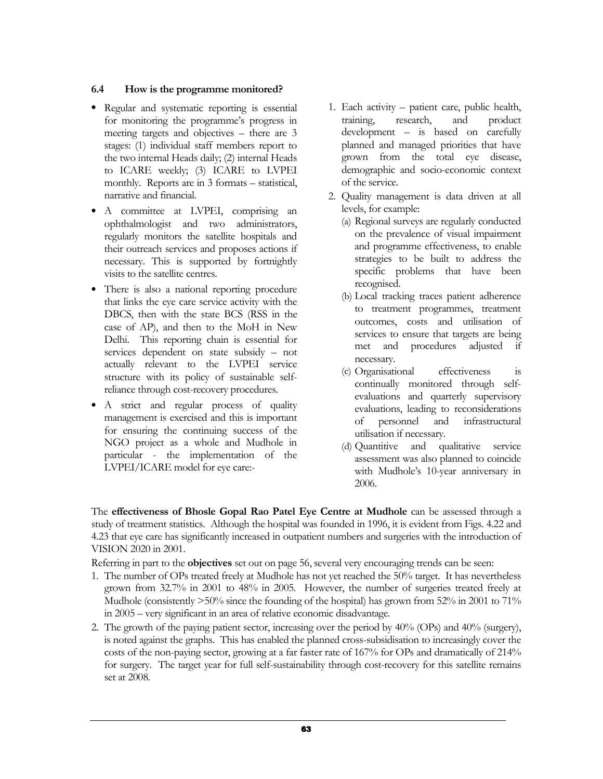### 6.4 How is the programme monitored?

- Regular and systematic reporting is essential for monitoring the programme's progress in meeting targets and objectives – there are 3 stages: (1) individual staff members report to the two internal Heads daily; (2) internal Heads to ICARE weekly; (3) ICARE to LVPEI monthly. Reports are in 3 formats – statistical, narrative and financial.
- A committee at LVPEI, comprising an ophthalmologist and two administrators, regularly monitors the satellite hospitals and their outreach services and proposes actions if necessary. This is supported by fortnightly visits to the satellite centres.
- There is also a national reporting procedure that links the eye care service activity with the DBCS, then with the state BCS (RSS in the case of AP), and then to the MoH in New Delhi. This reporting chain is essential for services dependent on state subsidy – not actually relevant to the LVPEI service structure with its policy of sustainable selfreliance through cost-recovery procedures.
- A strict and regular process of quality management is exercised and this is important for ensuring the continuing success of the NGO project as a whole and Mudhole in particular - the implementation of the LVPEI/ICARE model for eye care:-
- 1. Each activity patient care, public health, training, research, and product development – is based on carefully planned and managed priorities that have grown from the total eye disease, demographic and socio-economic context of the service.
- 2. Quality management is data driven at all levels, for example:
	- (a) Regional surveys are regularly conducted on the prevalence of visual impairment and programme effectiveness, to enable strategies to be built to address the specific problems that have been recognised.
	- (b) Local tracking traces patient adherence to treatment programmes, treatment outcomes, costs and utilisation of services to ensure that targets are being met and procedures adjusted if necessary.
	- (c) Organisational effectiveness is continually monitored through selfevaluations and quarterly supervisory evaluations, leading to reconsiderations of personnel and infrastructural utilisation if necessary.
	- (d) Quantitive and qualitative service assessment was also planned to coincide with Mudhole's 10-year anniversary in 2006.

The effectiveness of Bhosle Gopal Rao Patel Eye Centre at Mudhole can be assessed through a study of treatment statistics. Although the hospital was founded in 1996, it is evident from Figs. 4.22 and 4.23 that eye care has significantly increased in outpatient numbers and surgeries with the introduction of VISION 2020 in 2001.

Referring in part to the objectives set out on page 56, several very encouraging trends can be seen:

- 1. The number of OPs treated freely at Mudhole has not yet reached the 50% target. It has nevertheless grown from 32.7% in 2001 to 48% in 2005. However, the number of surgeries treated freely at Mudhole (consistently  $>50\%$  since the founding of the hospital) has grown from 52% in 2001 to 71% in 2005 – very significant in an area of relative economic disadvantage.
- 2. The growth of the paying patient sector, increasing over the period by 40% (OPs) and 40% (surgery), is noted against the graphs. This has enabled the planned cross-subsidisation to increasingly cover the costs of the non-paying sector, growing at a far faster rate of 167% for OPs and dramatically of 214% for surgery. The target year for full self-sustainability through cost-recovery for this satellite remains set at 2008.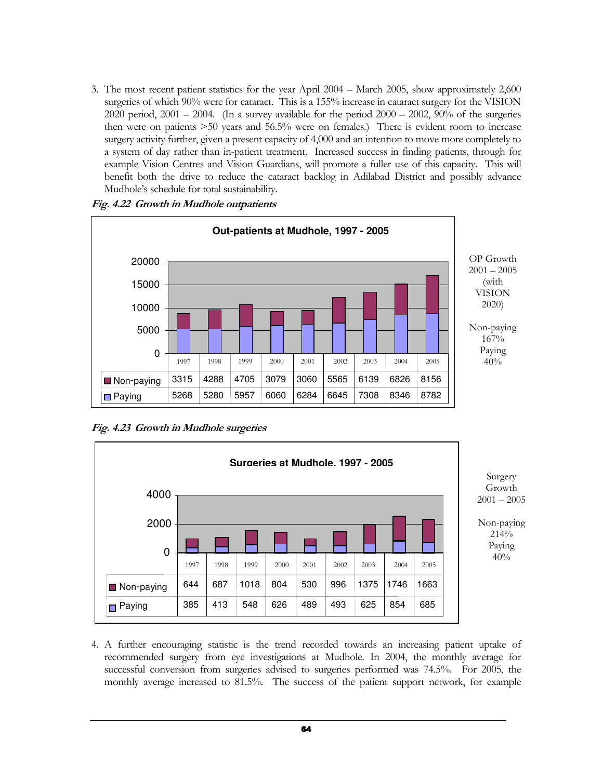3. The most recent patient statistics for the year April 2004 – March 2005, show approximately 2,600 surgeries of which 90% were for cataract. This is a 155% increase in cataract surgery for the VISION 2020 period,  $2001 - 2004$ . (In a survey available for the period  $2000 - 2002$ ,  $90\%$  of the surgeries then were on patients >50 years and 56.5% were on females.) There is evident room to increase surgery activity further, given a present capacity of 4,000 and an intention to move more completely to a system of day rather than in-patient treatment. Increased success in finding patients, through for example Vision Centres and Vision Guardians, will promote a fuller use of this capacity. This will benefit both the drive to reduce the cataract backlog in Adilabad District and possibly advance Mudhole's schedule for total sustainability.



Fig. 4.22 Growth in Mudhole outpatients

Fig. 4.23 Growth in Mudhole surgeries



4. A further encouraging statistic is the trend recorded towards an increasing patient uptake of recommended surgery from eye investigations at Mudhole. In 2004, the monthly average for successful conversion from surgeries advised to surgeries performed was 74.5%. For 2005, the monthly average increased to 81.5%. The success of the patient support network, for example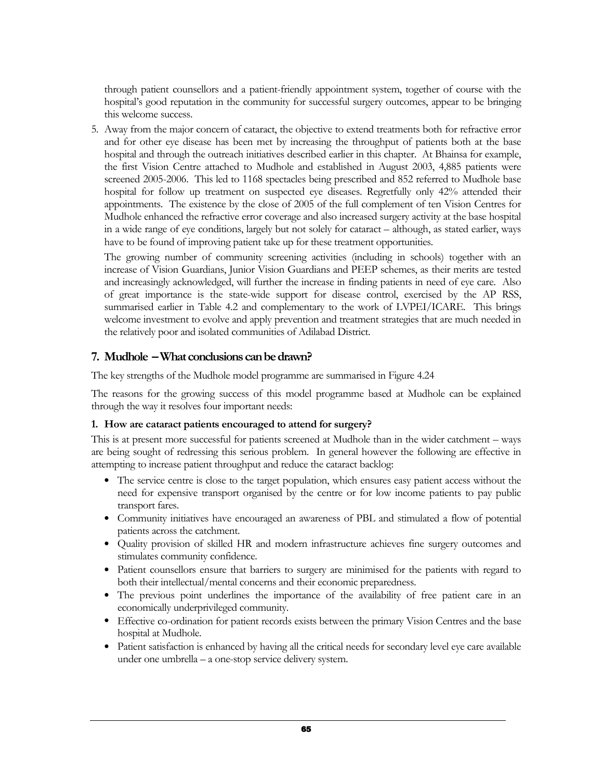through patient counsellors and a patient-friendly appointment system, together of course with the hospital's good reputation in the community for successful surgery outcomes, appear to be bringing this welcome success.

5. Away from the major concern of cataract, the objective to extend treatments both for refractive error and for other eye disease has been met by increasing the throughput of patients both at the base hospital and through the outreach initiatives described earlier in this chapter. At Bhainsa for example, the first Vision Centre attached to Mudhole and established in August 2003, 4,885 patients were screened 2005-2006. This led to 1168 spectacles being prescribed and 852 referred to Mudhole base hospital for follow up treatment on suspected eye diseases. Regretfully only 42% attended their appointments. The existence by the close of 2005 of the full complement of ten Vision Centres for Mudhole enhanced the refractive error coverage and also increased surgery activity at the base hospital in a wide range of eye conditions, largely but not solely for cataract – although, as stated earlier, ways have to be found of improving patient take up for these treatment opportunities.

The growing number of community screening activities (including in schools) together with an increase of Vision Guardians, Junior Vision Guardians and PEEP schemes, as their merits are tested and increasingly acknowledged, will further the increase in finding patients in need of eye care. Also of great importance is the state-wide support for disease control, exercised by the AP RSS, summarised earlier in Table 4.2 and complementary to the work of LVPEI/ICARE. This brings welcome investment to evolve and apply prevention and treatment strategies that are much needed in the relatively poor and isolated communities of Adilabad District.

### 7. Mudhole – What conclusions can be drawn?

The key strengths of the Mudhole model programme are summarised in Figure 4.24

The reasons for the growing success of this model programme based at Mudhole can be explained through the way it resolves four important needs:

### 1. How are cataract patients encouraged to attend for surgery?

This is at present more successful for patients screened at Mudhole than in the wider catchment – ways are being sought of redressing this serious problem. In general however the following are effective in attempting to increase patient throughput and reduce the cataract backlog:

- The service centre is close to the target population, which ensures easy patient access without the need for expensive transport organised by the centre or for low income patients to pay public transport fares.
- Community initiatives have encouraged an awareness of PBL and stimulated a flow of potential patients across the catchment.
- Quality provision of skilled HR and modern infrastructure achieves fine surgery outcomes and stimulates community confidence.
- Patient counsellors ensure that barriers to surgery are minimised for the patients with regard to both their intellectual/mental concerns and their economic preparedness.
- The previous point underlines the importance of the availability of free patient care in an economically underprivileged community.
- Effective co-ordination for patient records exists between the primary Vision Centres and the base hospital at Mudhole.
- Patient satisfaction is enhanced by having all the critical needs for secondary level eye care available under one umbrella – a one-stop service delivery system.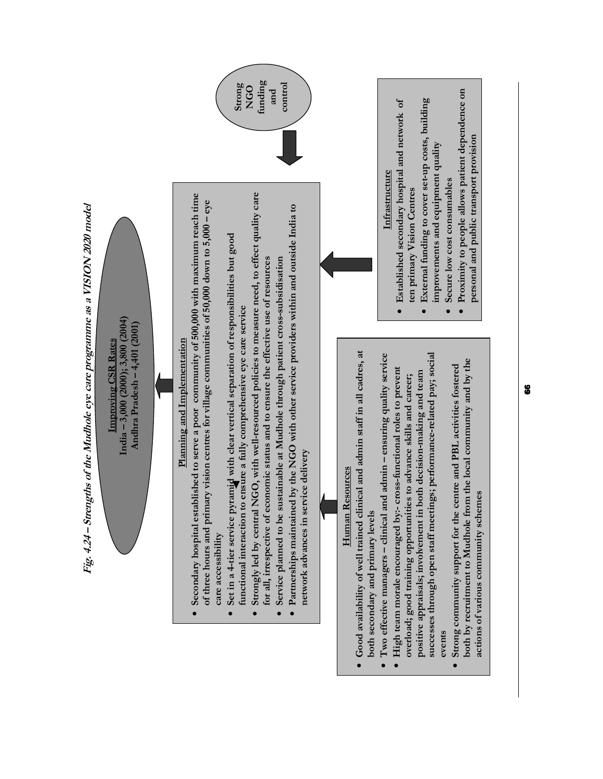

 $\bullet$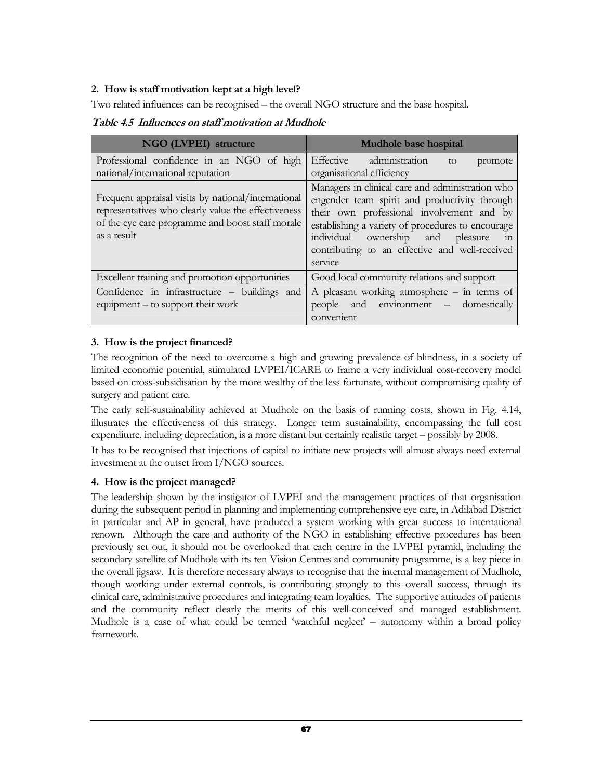### 2. How is staff motivation kept at a high level?

Two related influences can be recognised – the overall NGO structure and the base hospital.

Table 4.5 Influences on staff motivation at Mudhole

| NGO (LVPEI) structure                                                                                                                                                         | Mudhole base hospital                                                                                                                                                                                                                                                                                        |
|-------------------------------------------------------------------------------------------------------------------------------------------------------------------------------|--------------------------------------------------------------------------------------------------------------------------------------------------------------------------------------------------------------------------------------------------------------------------------------------------------------|
| Professional confidence in an NGO of high<br>national/international reputation                                                                                                | Effective administration<br>to<br>promote<br>organisational efficiency                                                                                                                                                                                                                                       |
| Frequent appraisal visits by national/international<br>representatives who clearly value the effectiveness<br>of the eye care programme and boost staff morale<br>as a result | Managers in clinical care and administration who<br>engender team spirit and productivity through<br>their own professional involvement and by<br>establishing a variety of procedures to encourage<br>individual ownership and pleasure<br>111<br>contributing to an effective and well-received<br>service |
| Excellent training and promotion opportunities                                                                                                                                | Good local community relations and support                                                                                                                                                                                                                                                                   |
| Confidence in infrastructure – buildings and<br>equipment – to support their work                                                                                             | A pleasant working atmosphere $-$ in terms of<br>and environment – domestically<br>people<br>convenient                                                                                                                                                                                                      |

### 3. How is the project financed?

The recognition of the need to overcome a high and growing prevalence of blindness, in a society of limited economic potential, stimulated LVPEI/ICARE to frame a very individual cost-recovery model based on cross-subsidisation by the more wealthy of the less fortunate, without compromising quality of surgery and patient care.

The early self-sustainability achieved at Mudhole on the basis of running costs, shown in Fig. 4.14, illustrates the effectiveness of this strategy. Longer term sustainability, encompassing the full cost expenditure, including depreciation, is a more distant but certainly realistic target – possibly by 2008.

It has to be recognised that injections of capital to initiate new projects will almost always need external investment at the outset from I/NGO sources.

### 4. How is the project managed?

The leadership shown by the instigator of LVPEI and the management practices of that organisation during the subsequent period in planning and implementing comprehensive eye care, in Adilabad District in particular and AP in general, have produced a system working with great success to international renown. Although the care and authority of the NGO in establishing effective procedures has been previously set out, it should not be overlooked that each centre in the LVPEI pyramid, including the secondary satellite of Mudhole with its ten Vision Centres and community programme, is a key piece in the overall jigsaw. It is therefore necessary always to recognise that the internal management of Mudhole, though working under external controls, is contributing strongly to this overall success, through its clinical care, administrative procedures and integrating team loyalties. The supportive attitudes of patients and the community reflect clearly the merits of this well-conceived and managed establishment. Mudhole is a case of what could be termed 'watchful neglect' – autonomy within a broad policy framework.